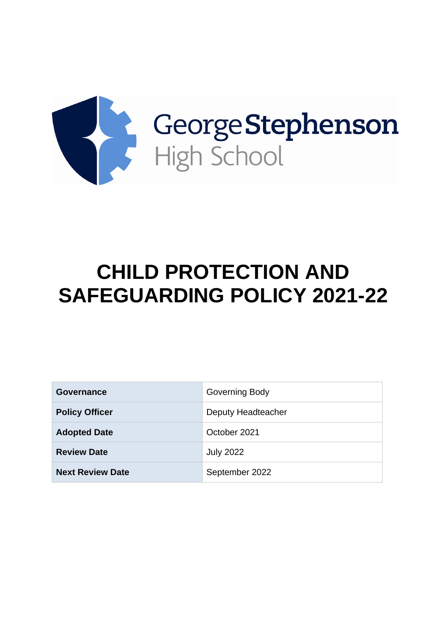

# **CHILD PROTECTION AND SAFEGUARDING POLICY 2021-22**

| Governance              | Governing Body     |
|-------------------------|--------------------|
| <b>Policy Officer</b>   | Deputy Headteacher |
| <b>Adopted Date</b>     | October 2021       |
| <b>Review Date</b>      | <b>July 2022</b>   |
| <b>Next Review Date</b> | September 2022     |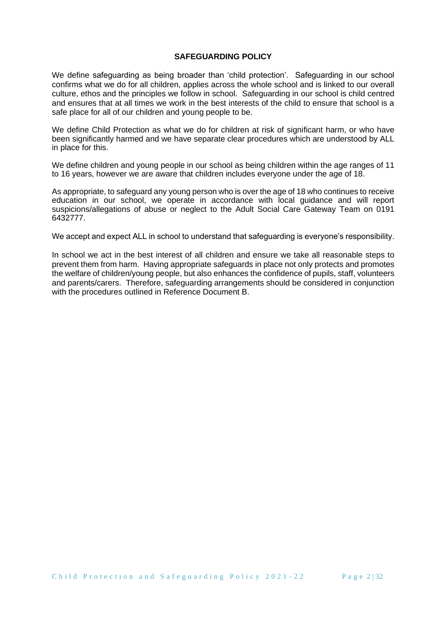#### **SAFEGUARDING POLICY**

We define safeguarding as being broader than 'child protection'. Safeguarding in our school confirms what we do for all children, applies across the whole school and is linked to our overall culture, ethos and the principles we follow in school. Safeguarding in our school is child centred and ensures that at all times we work in the best interests of the child to ensure that school is a safe place for all of our children and young people to be.

We define Child Protection as what we do for children at risk of significant harm, or who have been significantly harmed and we have separate clear procedures which are understood by ALL in place for this.

We define children and young people in our school as being children within the age ranges of 11 to 16 years, however we are aware that children includes everyone under the age of 18.

As appropriate, to safeguard any young person who is over the age of 18 who continues to receive education in our school, we operate in accordance with local guidance and will report suspicions/allegations of abuse or neglect to the Adult Social Care Gateway Team on 0191 6432777.

We accept and expect ALL in school to understand that safeguarding is everyone's responsibility.

In school we act in the best interest of all children and ensure we take all reasonable steps to prevent them from harm. Having appropriate safeguards in place not only protects and promotes the welfare of children/young people, but also enhances the confidence of pupils, staff, volunteers and parents/carers. Therefore, safeguarding arrangements should be considered in conjunction with the procedures outlined in Reference Document B.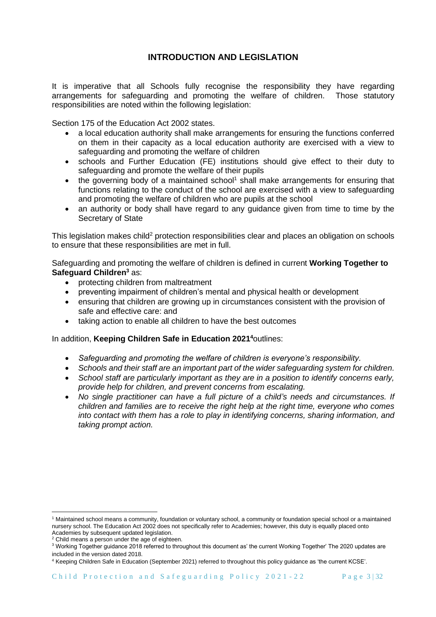# **INTRODUCTION AND LEGISLATION**

It is imperative that all Schools fully recognise the responsibility they have regarding arrangements for safeguarding and promoting the welfare of children. Those statutory responsibilities are noted within the following legislation:

Section 175 of the Education Act 2002 states.

- a local education authority shall make arrangements for ensuring the functions conferred on them in their capacity as a local education authority are exercised with a view to safeguarding and promoting the welfare of children
- schools and Further Education (FE) institutions should give effect to their duty to safeguarding and promote the welfare of their pupils
- $\bullet$  the governing body of a maintained school<sup>1</sup> shall make arrangements for ensuring that functions relating to the conduct of the school are exercised with a view to safeguarding and promoting the welfare of children who are pupils at the school
- an authority or body shall have regard to any quidance given from time to time by the Secretary of State

This legislation makes child<sup>2</sup> protection responsibilities clear and places an obligation on schools to ensure that these responsibilities are met in full.

Safeguarding and promoting the welfare of children is defined in current **Working Together to Safeguard Children<sup>3</sup>** as:

- protecting children from maltreatment
- preventing impairment of children's mental and physical health or development
- ensuring that children are growing up in circumstances consistent with the provision of safe and effective care: and
- taking action to enable all children to have the best outcomes

In addition, **Keeping Children Safe in Education 2021 <sup>4</sup>**outlines:

- *Safeguarding and promoting the welfare of children is everyone's responsibility.*
- *Schools and their staff are an important part of the wider safeguarding system for children.*
- *School staff are particularly important as they are in a position to identify concerns early, provide help for children, and prevent concerns from escalating.*
- *No single practitioner can have a full picture of a child's needs and circumstances. If children and families are to receive the right help at the right time, everyone who comes into contact with them has a role to play in identifying concerns, sharing information, and taking prompt action.*

<sup>1</sup> Maintained school means a community, foundation or voluntary school, a community or foundation special school or a maintained nursery school. The Education Act 2002 does not specifically refer to Academies; however, this duty is equally placed onto Academies by subsequent updated legislation.

<sup>&</sup>lt;sup>2</sup> Child means a person under the age of eighteen.

<sup>3</sup> Working Together guidance 2018 referred to throughout this document as' the current Working Together' The 2020 updates are included in the version dated 2018.

<sup>4</sup> Keeping Children Safe in Education (September 2021) referred to throughout this policy guidance as 'the current KCSE'.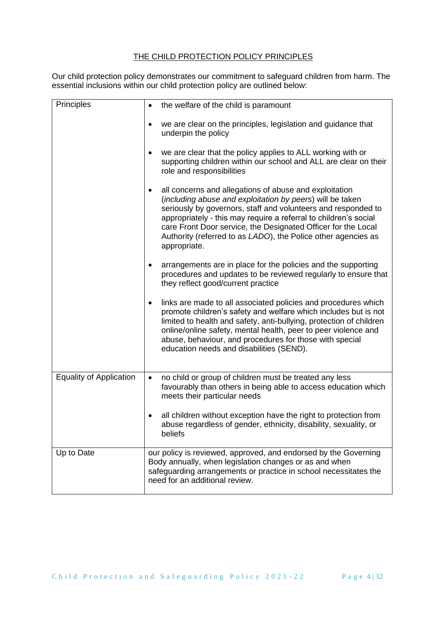# THE CHILD PROTECTION POLICY PRINCIPLES

Our child protection policy demonstrates our commitment to safeguard children from harm. The essential inclusions within our child protection policy are outlined below:

| Principles                     | the welfare of the child is paramount<br>$\bullet$                                                                                                                                                                                                                                                                                                                                                                      |
|--------------------------------|-------------------------------------------------------------------------------------------------------------------------------------------------------------------------------------------------------------------------------------------------------------------------------------------------------------------------------------------------------------------------------------------------------------------------|
|                                | we are clear on the principles, legislation and guidance that<br>٠<br>underpin the policy                                                                                                                                                                                                                                                                                                                               |
|                                | we are clear that the policy applies to ALL working with or<br>٠<br>supporting children within our school and ALL are clear on their<br>role and responsibilities                                                                                                                                                                                                                                                       |
|                                | all concerns and allegations of abuse and exploitation<br>$\bullet$<br>(including abuse and exploitation by peers) will be taken<br>seriously by governors, staff and volunteers and responded to<br>appropriately - this may require a referral to children's social<br>care Front Door service, the Designated Officer for the Local<br>Authority (referred to as LADO), the Police other agencies as<br>appropriate. |
|                                | arrangements are in place for the policies and the supporting<br>٠<br>procedures and updates to be reviewed regularly to ensure that<br>they reflect good/current practice                                                                                                                                                                                                                                              |
|                                | links are made to all associated policies and procedures which<br>$\bullet$<br>promote children's safety and welfare which includes but is not<br>limited to health and safety, anti-bullying, protection of children<br>online/online safety, mental health, peer to peer violence and<br>abuse, behaviour, and procedures for those with special<br>education needs and disabilities (SEND).                          |
| <b>Equality of Application</b> | no child or group of children must be treated any less<br>$\bullet$<br>favourably than others in being able to access education which<br>meets their particular needs                                                                                                                                                                                                                                                   |
|                                | all children without exception have the right to protection from<br>abuse regardless of gender, ethnicity, disability, sexuality, or<br>beliefs                                                                                                                                                                                                                                                                         |
| Up to Date                     | our policy is reviewed, approved, and endorsed by the Governing<br>Body annually, when legislation changes or as and when<br>safeguarding arrangements or practice in school necessitates the<br>need for an additional review.                                                                                                                                                                                         |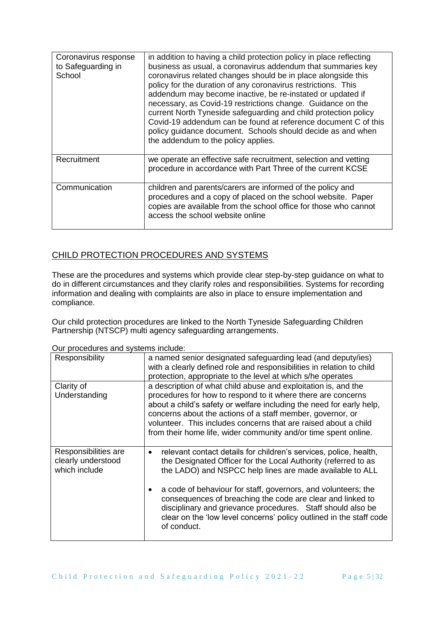| Coronavirus response<br>to Safeguarding in<br>School | in addition to having a child protection policy in place reflecting<br>business as usual, a coronavirus addendum that summaries key<br>coronavirus related changes should be in place alongside this<br>policy for the duration of any coronavirus restrictions. This<br>addendum may become inactive, be re-instated or updated if<br>necessary, as Covid-19 restrictions change. Guidance on the<br>current North Tyneside safeguarding and child protection policy<br>Covid-19 addendum can be found at reference document C of this<br>policy guidance document. Schools should decide as and when<br>the addendum to the policy applies. |
|------------------------------------------------------|-----------------------------------------------------------------------------------------------------------------------------------------------------------------------------------------------------------------------------------------------------------------------------------------------------------------------------------------------------------------------------------------------------------------------------------------------------------------------------------------------------------------------------------------------------------------------------------------------------------------------------------------------|
| Recruitment                                          | we operate an effective safe recruitment, selection and vetting<br>procedure in accordance with Part Three of the current KCSE                                                                                                                                                                                                                                                                                                                                                                                                                                                                                                                |
| Communication                                        | children and parents/carers are informed of the policy and<br>procedures and a copy of placed on the school website. Paper<br>copies are available from the school office for those who cannot<br>access the school website online                                                                                                                                                                                                                                                                                                                                                                                                            |

# CHILD PROTECTION PROCEDURES AND SYSTEMS

These are the procedures and systems which provide clear step-by-step guidance on what to do in different circumstances and they clarify roles and responsibilities. Systems for recording information and dealing with complaints are also in place to ensure implementation and compliance.

Our child protection procedures are linked to the North Tyneside Safeguarding Children Partnership (NTSCP) multi agency safeguarding arrangements.

| Responsibility                                              | a named senior designated safeguarding lead (and deputy/ies)<br>with a clearly defined role and responsibilities in relation to child<br>protection, appropriate to the level at which s/he operates                                                                                                                                                                                                       |
|-------------------------------------------------------------|------------------------------------------------------------------------------------------------------------------------------------------------------------------------------------------------------------------------------------------------------------------------------------------------------------------------------------------------------------------------------------------------------------|
| Clarity of<br>Understanding                                 | a description of what child abuse and exploitation is, and the<br>procedures for how to respond to it where there are concerns<br>about a child's safety or welfare including the need for early help,<br>concerns about the actions of a staff member, governor, or<br>volunteer. This includes concerns that are raised about a child<br>from their home life, wider community and/or time spent online. |
| Responsibilities are<br>clearly understood<br>which include | relevant contact details for children's services, police, health,<br>$\bullet$<br>the Designated Officer for the Local Authority (referred to as<br>the LADO) and NSPCC help lines are made available to ALL                                                                                                                                                                                               |
|                                                             | a code of behaviour for staff, governors, and volunteers; the<br>consequences of breaching the code are clear and linked to<br>disciplinary and grievance procedures. Staff should also be<br>clear on the 'low level concerns' policy outlined in the staff code<br>of conduct.                                                                                                                           |

Our procedures and systems include: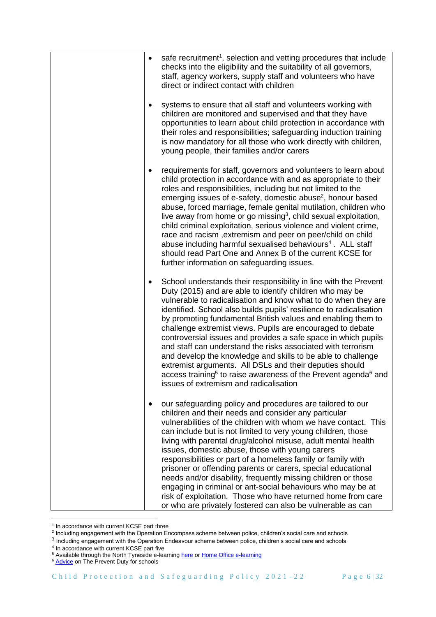| $\bullet$ | safe recruitment <sup>1</sup> , selection and vetting procedures that include<br>checks into the eligibility and the suitability of all governors,<br>staff, agency workers, supply staff and volunteers who have<br>direct or indirect contact with children                                                                                                                                                                                                                                                                                                                                                                                                                                                                                                                                        |
|-----------|------------------------------------------------------------------------------------------------------------------------------------------------------------------------------------------------------------------------------------------------------------------------------------------------------------------------------------------------------------------------------------------------------------------------------------------------------------------------------------------------------------------------------------------------------------------------------------------------------------------------------------------------------------------------------------------------------------------------------------------------------------------------------------------------------|
|           | systems to ensure that all staff and volunteers working with<br>children are monitored and supervised and that they have<br>opportunities to learn about child protection in accordance with<br>their roles and responsibilities; safeguarding induction training<br>is now mandatory for all those who work directly with children,<br>young people, their families and/or carers                                                                                                                                                                                                                                                                                                                                                                                                                   |
|           | requirements for staff, governors and volunteers to learn about<br>child protection in accordance with and as appropriate to their<br>roles and responsibilities, including but not limited to the<br>emerging issues of e-safety, domestic abuse <sup>2</sup> , honour based<br>abuse, forced marriage, female genital mutilation, children who<br>live away from home or go missing <sup>3</sup> , child sexual exploitation,<br>child criminal exploitation, serious violence and violent crime,<br>race and racism, extremism and peer on peer/child on child<br>abuse including harmful sexualised behaviours <sup>4</sup> . ALL staff<br>should read Part One and Annex B of the current KCSE for<br>further information on safeguarding issues.                                               |
| ٠         | School understands their responsibility in line with the Prevent<br>Duty (2015) and are able to identify children who may be<br>vulnerable to radicalisation and know what to do when they are<br>identified. School also builds pupils' resilience to radicalisation<br>by promoting fundamental British values and enabling them to<br>challenge extremist views. Pupils are encouraged to debate<br>controversial issues and provides a safe space in which pupils<br>and staff can understand the risks associated with terrorism<br>and develop the knowledge and skills to be able to challenge<br>extremist arguments. All DSLs and their deputies should<br>access training <sup>5</sup> to raise awareness of the Prevent agenda <sup>6</sup> and<br>issues of extremism and radicalisation |
|           | our safeguarding policy and procedures are tailored to our<br>children and their needs and consider any particular<br>vulnerabilities of the children with whom we have contact. This<br>can include but is not limited to very young children, those<br>living with parental drug/alcohol misuse, adult mental health<br>issues, domestic abuse, those with young carers<br>responsibilities or part of a homeless family or family with<br>prisoner or offending parents or carers, special educational<br>needs and/or disability, frequently missing children or those<br>engaging in criminal or ant-social behaviours who may be at<br>risk of exploitation. Those who have returned home from care<br>or who are privately fostered can also be vulnerable as can                             |

<sup>&</sup>lt;sup>1</sup> In accordance with current KCSE part three<br><sup>2</sup> Including engagement with the Operation Encompass scheme between police, children's social care and schools

 $^3$  Including engagement with the Operation Endeavour scheme between police, children's social care and schools<br><sup>4</sup> In accordance with current KCSE part five

<sup>&</sup>lt;sup>5</sup> Available through the North Tyneside e-learnin[g here](https://northtyneside.learningpool.com/course/view.php?id=199) o[r Home Office e-learning](https://www.elearning.prevent.homeoffice.gov.uk/)

<sup>&</sup>lt;sup>6</sup> [Advice](https://assets.publishing.service.gov.uk/government/uploads/system/uploads/attachment_data/file/439598/prevent-duty-departmental-advice-v6.pdf) on The Prevent Duty for schools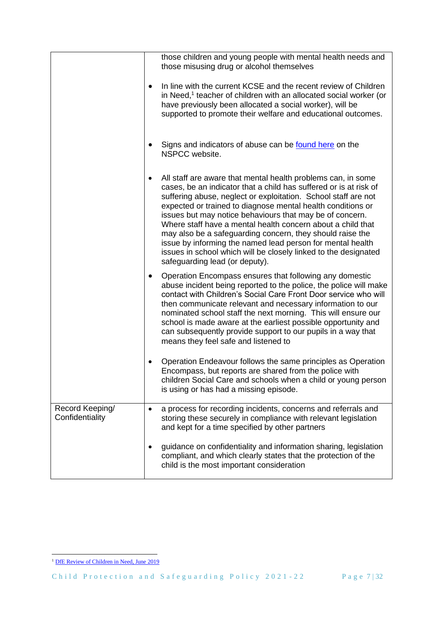|                                    |           | those children and young people with mental health needs and<br>those misusing drug or alcohol themselves                                                                                                                                                                                                                                                                                                                                                                                                                                                                                                                     |
|------------------------------------|-----------|-------------------------------------------------------------------------------------------------------------------------------------------------------------------------------------------------------------------------------------------------------------------------------------------------------------------------------------------------------------------------------------------------------------------------------------------------------------------------------------------------------------------------------------------------------------------------------------------------------------------------------|
|                                    | $\bullet$ | In line with the current KCSE and the recent review of Children<br>in Need, <sup>1</sup> teacher of children with an allocated social worker (or<br>have previously been allocated a social worker), will be<br>supported to promote their welfare and educational outcomes.                                                                                                                                                                                                                                                                                                                                                  |
|                                    |           | Signs and indicators of abuse can be found here on the<br>NSPCC website.                                                                                                                                                                                                                                                                                                                                                                                                                                                                                                                                                      |
|                                    | ٠         | All staff are aware that mental health problems can, in some<br>cases, be an indicator that a child has suffered or is at risk of<br>suffering abuse, neglect or exploitation. School staff are not<br>expected or trained to diagnose mental health conditions or<br>issues but may notice behaviours that may be of concern.<br>Where staff have a mental health concern about a child that<br>may also be a safeguarding concern, they should raise the<br>issue by informing the named lead person for mental health<br>issues in school which will be closely linked to the designated<br>safeguarding lead (or deputy). |
|                                    | $\bullet$ | Operation Encompass ensures that following any domestic<br>abuse incident being reported to the police, the police will make<br>contact with Children's Social Care Front Door service who will<br>then communicate relevant and necessary information to our<br>nominated school staff the next morning. This will ensure our<br>school is made aware at the earliest possible opportunity and<br>can subsequently provide support to our pupils in a way that<br>means they feel safe and listened to                                                                                                                       |
|                                    |           | Operation Endeavour follows the same principles as Operation<br>Encompass, but reports are shared from the police with<br>children Social Care and schools when a child or young person<br>is using or has had a missing episode.                                                                                                                                                                                                                                                                                                                                                                                             |
| Record Keeping/<br>Confidentiality | ٠         | a process for recording incidents, concerns and referrals and<br>storing these securely in compliance with relevant legislation<br>and kept for a time specified by other partners                                                                                                                                                                                                                                                                                                                                                                                                                                            |
|                                    |           | guidance on confidentiality and information sharing, legislation<br>compliant, and which clearly states that the protection of the<br>child is the most important consideration                                                                                                                                                                                                                                                                                                                                                                                                                                               |

<sup>&</sup>lt;sup>1</sup> [DfE Review of Children in Need, June 2019](https://www.gov.uk/government/publications/review-of-children-in-need/review-of-children-in-need)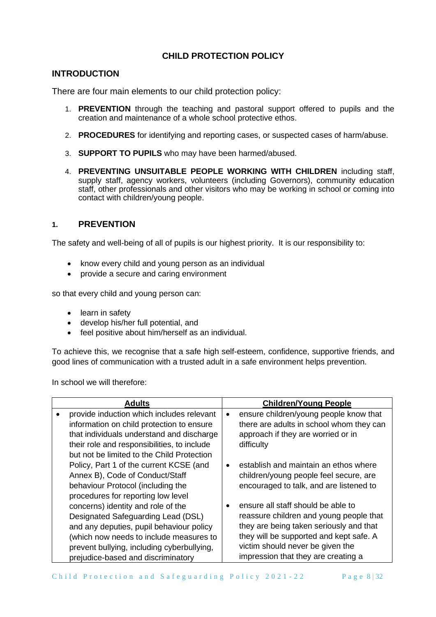# **CHILD PROTECTION POLICY**

# **INTRODUCTION**

There are four main elements to our child protection policy:

- 1. **PREVENTION** through the teaching and pastoral support offered to pupils and the creation and maintenance of a whole school protective ethos.
- 2. **PROCEDURES** for identifying and reporting cases, or suspected cases of harm/abuse.
- 3. **SUPPORT TO PUPILS** who may have been harmed/abused.
- 4. **PREVENTING UNSUITABLE PEOPLE WORKING WITH CHILDREN** including staff, supply staff, agency workers, volunteers (including Governors), community education staff, other professionals and other visitors who may be working in school or coming into contact with children/young people.

# **1. PREVENTION**

The safety and well-being of all of pupils is our highest priority. It is our responsibility to:

- know every child and young person as an individual
- provide a secure and caring environment

so that every child and young person can:

- learn in safety
- develop his/her full potential, and
- feel positive about him/herself as an individual.

To achieve this, we recognise that a safe high self-esteem, confidence, supportive friends, and good lines of communication with a trusted adult in a safe environment helps prevention.

In school we will therefore:

| <b>Adults</b>                               |           | <b>Children/Young People</b>             |
|---------------------------------------------|-----------|------------------------------------------|
| provide induction which includes relevant   | $\bullet$ | ensure children/young people know that   |
| information on child protection to ensure   |           | there are adults in school whom they can |
| that individuals understand and discharge   |           | approach if they are worried or in       |
| their role and responsibilities, to include |           | difficulty                               |
| but not be limited to the Child Protection  |           |                                          |
| Policy, Part 1 of the current KCSE (and     | $\bullet$ | establish and maintain an ethos where    |
| Annex B), Code of Conduct/Staff             |           | children/young people feel secure, are   |
| behaviour Protocol (including the           |           | encouraged to talk, and are listened to  |
| procedures for reporting low level          |           |                                          |
| concerns) identity and role of the          |           | ensure all staff should be able to       |
| Designated Safeguarding Lead (DSL)          |           | reassure children and young people that  |
| and any deputies, pupil behaviour policy    |           | they are being taken seriously and that  |
| (which now needs to include measures to     |           | they will be supported and kept safe. A  |
| prevent bullying, including cyberbullying,  |           | victim should never be given the         |
| prejudice-based and discriminatory          |           | impression that they are creating a      |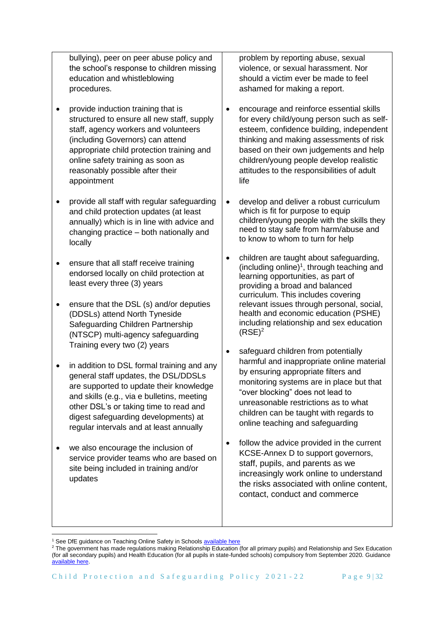bullying), peer on peer abuse policy and the school's response to children missing education and whistleblowing procedures.

- provide induction training that is structured to ensure all new staff, supply staff, agency workers and volunteers (including Governors) can attend appropriate child protection training and online safety training as soon as reasonably possible after their appointment
- provide all staff with regular safeguarding and child protection updates (at least annually) which is in line with advice and changing practice – both nationally and locally
- ensure that all staff receive training endorsed locally on child protection at least every three (3) years
- ensure that the DSL (s) and/or deputies (DDSLs) attend North Tyneside Safeguarding Children Partnership (NTSCP) multi-agency safeguarding Training every two (2) years
- in addition to DSL formal training and any general staff updates, the DSL/DDSLs are supported to update their knowledge and skills (e.g., via e bulletins, meeting other DSL's or taking time to read and digest safeguarding developments) at regular intervals and at least annually
- we also encourage the inclusion of service provider teams who are based on site being included in training and/or updates

problem by reporting abuse, sexual violence, or sexual harassment. Nor should a victim ever be made to feel ashamed for making a report.

- encourage and reinforce essential skills for every child/young person such as selfesteem, confidence building, independent thinking and making assessments of risk based on their own judgements and help children/young people develop realistic attitudes to the responsibilities of adult life
- develop and deliver a robust curriculum which is fit for purpose to equip children/young people with the skills they need to stay safe from harm/abuse and to know to whom to turn for help
- children are taught about safeguarding, (including online) 1 , through teaching and learning opportunities, as part of providing a broad and balanced curriculum. This includes covering relevant issues through personal, social, health and economic education (PSHE) including relationship and sex education  $(RSE)<sup>2</sup>$
- safeguard children from potentially harmful and inappropriate online material by ensuring appropriate filters and monitoring systems are in place but that "over blocking" does not lead to unreasonable restrictions as to what children can be taught with regards to online teaching and safeguarding
- follow the advice provided in the current KCSE-Annex D to support governors, staff, pupils, and parents as we increasingly work online to understand the risks associated with online content, contact, conduct and commerce

<sup>&</sup>lt;sup>1</sup> See DfE guidance on Teaching Online Safety in School[s available here](https://www.gov.uk/government/publications/teaching-online-safety-in-schools)

<sup>&</sup>lt;sup>2</sup> The government has made regulations making Relationship Education (for all primary pupils) and Relationship and Sex Education (for all secondary pupils) and Health Education (for all pupils in state-funded schools) compulsory from September 2020. Guidance [available here.](https://www.gov.uk/government/publications/relationships-education-relationships-and-sex-education-rse-and-health-education/implementation-of-relationships-education-relationships-and-sex-education-and-health-education-2020-to-2021)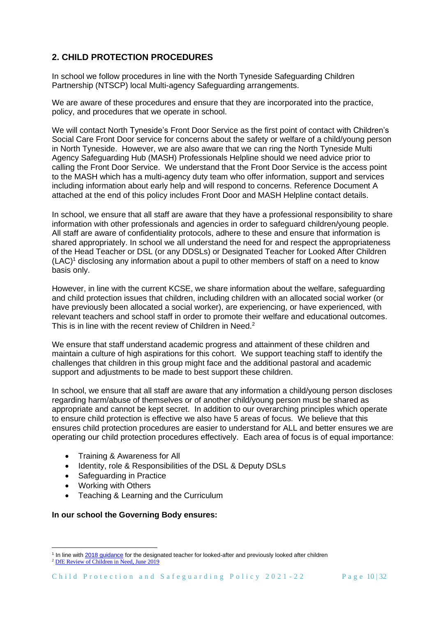# **2. CHILD PROTECTION PROCEDURES**

In school we follow procedures in line with the North Tyneside Safeguarding Children Partnership (NTSCP) local Multi-agency Safeguarding arrangements.

We are aware of these procedures and ensure that they are incorporated into the practice. policy, and procedures that we operate in school.

We will contact North Tyneside's Front Door Service as the first point of contact with Children's Social Care Front Door service for concerns about the safety or welfare of a child/young person in North Tyneside. However, we are also aware that we can ring the North Tyneside Multi Agency Safeguarding Hub (MASH) Professionals Helpline should we need advice prior to calling the Front Door Service. We understand that the Front Door Service is the access point to the MASH which has a multi-agency duty team who offer information, support and services including information about early help and will respond to concerns. Reference Document A attached at the end of this policy includes Front Door and MASH Helpline contact details.

In school, we ensure that all staff are aware that they have a professional responsibility to share information with other professionals and agencies in order to safeguard children/young people. All staff are aware of confidentiality protocols, adhere to these and ensure that information is shared appropriately. In school we all understand the need for and respect the appropriateness of the Head Teacher or DSL (or any DDSLs) or Designated Teacher for Looked After Children (LAC)<sup>1</sup> disclosing any information about a pupil to other members of staff on a need to know basis only.

However, in line with the current KCSE, we share information about the welfare, safeguarding and child protection issues that children, including children with an allocated social worker (or have previously been allocated a social worker), are experiencing, or have experienced, with relevant teachers and school staff in order to promote their welfare and educational outcomes. This is in line with the recent review of Children in Need.<sup>2</sup>

We ensure that staff understand academic progress and attainment of these children and maintain a culture of high aspirations for this cohort. We support teaching staff to identify the challenges that children in this group might face and the additional pastoral and academic support and adjustments to be made to best support these children.

In school, we ensure that all staff are aware that any information a child/young person discloses regarding harm/abuse of themselves or of another child/young person must be shared as appropriate and cannot be kept secret. In addition to our overarching principles which operate to ensure child protection is effective we also have 5 areas of focus. We believe that this ensures child protection procedures are easier to understand for ALL and better ensures we are operating our child protection procedures effectively. Each area of focus is of equal importance:

- Training & Awareness for All
- Identity, role & Responsibilities of the DSL & Deputy DSLs
- Safeguarding in Practice
- Working with Others
- Teaching & Learning and the Curriculum

## **In our school the Governing Body ensures:**

<sup>&</sup>lt;sup>1</sup> In line with [2018 guidance](https://www.gov.uk/government/publications/designated-teacher-for-looked-after-children) for the designated teacher for looked-after and previously looked after children <sup>2</sup> [DfE Review of Children in Need, June 2019](https://www.gov.uk/government/publications/review-of-children-in-need/review-of-children-in-need)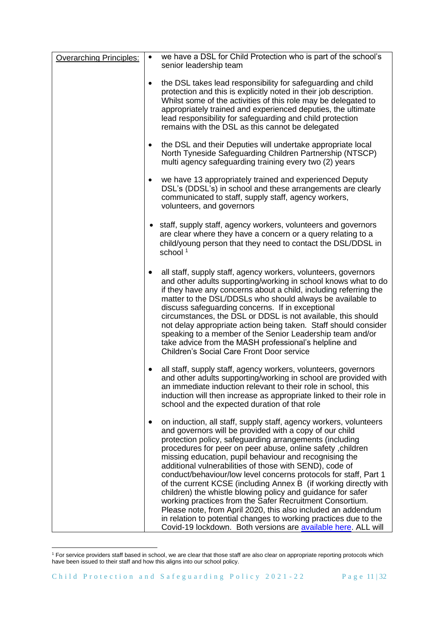| <b>Overarching Principles:</b> | $\bullet$ | we have a DSL for Child Protection who is part of the school's<br>senior leadership team                                                                                                                                                                                                                                                                                                                                                                                                                                                                                                                                                                                                                                                                                                                                                           |
|--------------------------------|-----------|----------------------------------------------------------------------------------------------------------------------------------------------------------------------------------------------------------------------------------------------------------------------------------------------------------------------------------------------------------------------------------------------------------------------------------------------------------------------------------------------------------------------------------------------------------------------------------------------------------------------------------------------------------------------------------------------------------------------------------------------------------------------------------------------------------------------------------------------------|
|                                | $\bullet$ | the DSL takes lead responsibility for safeguarding and child<br>protection and this is explicitly noted in their job description.<br>Whilst some of the activities of this role may be delegated to<br>appropriately trained and experienced deputies, the ultimate<br>lead responsibility for safeguarding and child protection<br>remains with the DSL as this cannot be delegated                                                                                                                                                                                                                                                                                                                                                                                                                                                               |
|                                | $\bullet$ | the DSL and their Deputies will undertake appropriate local<br>North Tyneside Safeguarding Children Partnership (NTSCP)<br>multi agency safeguarding training every two (2) years                                                                                                                                                                                                                                                                                                                                                                                                                                                                                                                                                                                                                                                                  |
|                                | $\bullet$ | we have 13 appropriately trained and experienced Deputy<br>DSL's (DDSL's) in school and these arrangements are clearly<br>communicated to staff, supply staff, agency workers,<br>volunteers, and governors                                                                                                                                                                                                                                                                                                                                                                                                                                                                                                                                                                                                                                        |
|                                |           | • staff, supply staff, agency workers, volunteers and governors<br>are clear where they have a concern or a query relating to a<br>child/young person that they need to contact the DSL/DDSL in<br>school <sup>1</sup>                                                                                                                                                                                                                                                                                                                                                                                                                                                                                                                                                                                                                             |
|                                | $\bullet$ | all staff, supply staff, agency workers, volunteers, governors<br>and other adults supporting/working in school knows what to do<br>if they have any concerns about a child, including referring the<br>matter to the DSL/DDSLs who should always be available to<br>discuss safeguarding concerns. If in exceptional<br>circumstances, the DSL or DDSL is not available, this should<br>not delay appropriate action being taken. Staff should consider<br>speaking to a member of the Senior Leadership team and/or<br>take advice from the MASH professional's helpline and<br><b>Children's Social Care Front Door service</b>                                                                                                                                                                                                                 |
|                                |           | all staff, supply staff, agency workers, volunteers, governors<br>and other adults supporting/working in school are provided with<br>an immediate induction relevant to their role in school, this<br>induction will then increase as appropriate linked to their role in<br>school and the expected duration of that role                                                                                                                                                                                                                                                                                                                                                                                                                                                                                                                         |
|                                | $\bullet$ | on induction, all staff, supply staff, agency workers, volunteers<br>and governors will be provided with a copy of our child<br>protection policy, safeguarding arrangements (including<br>procedures for peer on peer abuse, online safety, children<br>missing education, pupil behaviour and recognising the<br>additional vulnerabilities of those with SEND), code of<br>conduct/behaviour/low level concerns protocols for staff, Part 1<br>of the current KCSE (including Annex B (if working directly with<br>children) the whistle blowing policy and guidance for safer<br>working practices from the Safer Recruitment Consortium.<br>Please note, from April 2020, this also included an addendum<br>in relation to potential changes to working practices due to the<br>Covid-19 lockdown. Both versions are available here. ALL will |

<sup>&</sup>lt;sup>1</sup> For service providers staff based in school, we are clear that those staff are also clear on appropriate reporting protocols which have been issued to their staff and how this aligns into our school policy.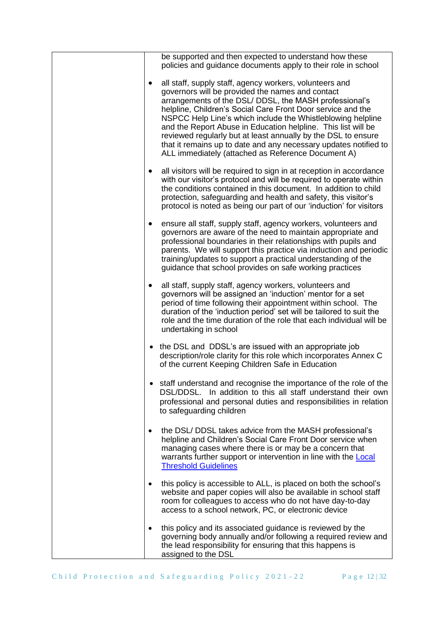|           | be supported and then expected to understand how these<br>policies and guidance documents apply to their role in school                                                                                                                                                                                                                                                                                                                                                                                                                                         |
|-----------|-----------------------------------------------------------------------------------------------------------------------------------------------------------------------------------------------------------------------------------------------------------------------------------------------------------------------------------------------------------------------------------------------------------------------------------------------------------------------------------------------------------------------------------------------------------------|
| ٠         | all staff, supply staff, agency workers, volunteers and<br>governors will be provided the names and contact<br>arrangements of the DSL/ DDSL, the MASH professional's<br>helpline, Children's Social Care Front Door service and the<br>NSPCC Help Line's which include the Whistleblowing helpline<br>and the Report Abuse in Education helpline. This list will be<br>reviewed regularly but at least annually by the DSL to ensure<br>that it remains up to date and any necessary updates notified to<br>ALL immediately (attached as Reference Document A) |
| $\bullet$ | all visitors will be required to sign in at reception in accordance<br>with our visitor's protocol and will be required to operate within<br>the conditions contained in this document. In addition to child<br>protection, safeguarding and health and safety, this visitor's<br>protocol is noted as being our part of our 'induction' for visitors                                                                                                                                                                                                           |
| ٠         | ensure all staff, supply staff, agency workers, volunteers and<br>governors are aware of the need to maintain appropriate and<br>professional boundaries in their relationships with pupils and<br>parents. We will support this practice via induction and periodic<br>training/updates to support a practical understanding of the<br>guidance that school provides on safe working practices                                                                                                                                                                 |
| $\bullet$ | all staff, supply staff, agency workers, volunteers and<br>governors will be assigned an 'induction' mentor for a set<br>period of time following their appointment within school. The<br>duration of the 'induction period' set will be tailored to suit the<br>role and the time duration of the role that each individual will be<br>undertaking in school                                                                                                                                                                                                   |
| $\bullet$ | the DSL and DDSL's are issued with an appropriate job<br>description/role clarity for this role which incorporates Annex C<br>of the current Keeping Children Safe in Education                                                                                                                                                                                                                                                                                                                                                                                 |
| $\bullet$ | staff understand and recognise the importance of the role of the<br>DSL/DDSL. In addition to this all staff understand their own<br>professional and personal duties and responsibilities in relation<br>to safeguarding children                                                                                                                                                                                                                                                                                                                               |
| ٠         | the DSL/DDSL takes advice from the MASH professional's<br>helpline and Children's Social Care Front Door service when<br>managing cases where there is or may be a concern that<br>warrants further support or intervention in line with the <b>Local</b><br><b>Threshold Guidelines</b>                                                                                                                                                                                                                                                                        |
| ٠         | this policy is accessible to ALL, is placed on both the school's<br>website and paper copies will also be available in school staff<br>room for colleagues to access who do not have day-to-day<br>access to a school network, PC, or electronic device                                                                                                                                                                                                                                                                                                         |
| ٠         | this policy and its associated guidance is reviewed by the<br>governing body annually and/or following a required review and<br>the lead responsibility for ensuring that this happens is<br>assigned to the DSL                                                                                                                                                                                                                                                                                                                                                |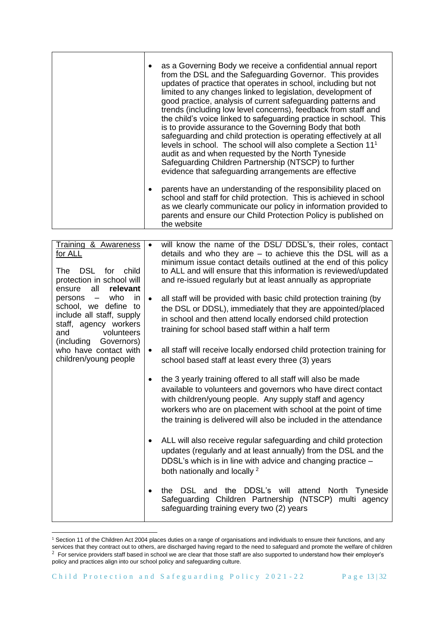| as a Governing Body we receive a confidential annual report<br>from the DSL and the Safeguarding Governor. This provides<br>updates of practice that operates in school, including but not<br>limited to any changes linked to legislation, development of<br>good practice, analysis of current safeguarding patterns and<br>trends (including low level concerns), feedback from staff and<br>the child's voice linked to safeguarding practice in school. This<br>is to provide assurance to the Governing Body that both<br>safeguarding and child protection is operating effectively at all<br>levels in school. The school will also complete a Section 11 <sup>1</sup><br>audit as and when requested by the North Tyneside<br>Safeguarding Children Partnership (NTSCP) to further<br>evidence that safeguarding arrangements are effective |
|------------------------------------------------------------------------------------------------------------------------------------------------------------------------------------------------------------------------------------------------------------------------------------------------------------------------------------------------------------------------------------------------------------------------------------------------------------------------------------------------------------------------------------------------------------------------------------------------------------------------------------------------------------------------------------------------------------------------------------------------------------------------------------------------------------------------------------------------------|
| parents have an understanding of the responsibility placed on<br>school and staff for child protection. This is achieved in school<br>as we clearly communicate our policy in information provided to<br>parents and ensure our Child Protection Policy is published on<br>the website                                                                                                                                                                                                                                                                                                                                                                                                                                                                                                                                                               |

| Training & Awareness<br>for ALL<br><b>DSL</b><br>for<br>child<br>The<br>protection in school will<br>all<br>relevant<br>ensure                     | $\bullet$ | will know the name of the DSL/ DDSL's, their roles, contact<br>details and who they are $-$ to achieve this the DSL will as a<br>minimum issue contact details outlined at the end of this policy<br>to ALL and will ensure that this information is reviewed/updated<br>and re-issued regularly but at least annually as appropriate |
|----------------------------------------------------------------------------------------------------------------------------------------------------|-----------|---------------------------------------------------------------------------------------------------------------------------------------------------------------------------------------------------------------------------------------------------------------------------------------------------------------------------------------|
| who<br>in<br>persons -<br>school, we define to<br>include all staff, supply<br>staff, agency workers<br>volunteers<br>and<br>(including Governors) | $\bullet$ | all staff will be provided with basic child protection training (by<br>the DSL or DDSL), immediately that they are appointed/placed<br>in school and then attend locally endorsed child protection<br>training for school based staff within a half term                                                                              |
| who have contact with<br>children/young people                                                                                                     | $\bullet$ | all staff will receive locally endorsed child protection training for<br>school based staff at least every three (3) years                                                                                                                                                                                                            |
|                                                                                                                                                    |           | the 3 yearly training offered to all staff will also be made<br>available to volunteers and governors who have direct contact<br>with children/young people. Any supply staff and agency<br>workers who are on placement with school at the point of time<br>the training is delivered will also be included in the attendance        |
|                                                                                                                                                    | $\bullet$ | ALL will also receive regular safeguarding and child protection<br>updates (regularly and at least annually) from the DSL and the<br>DDSL's which is in line with advice and changing practice -<br>both nationally and locally <sup>2</sup>                                                                                          |
|                                                                                                                                                    |           | DSL and the DDSL's will<br>attend North Tyneside<br>the<br>Safeguarding Children Partnership (NTSCP) multi agency<br>safeguarding training every two (2) years                                                                                                                                                                        |

<sup>&</sup>lt;sup>1</sup> Section 11 of the Children Act 2004 places duties on a range of organisations and individuals to ensure their functions, and any services that they contract out to others, are discharged having regard to the need to safeguard and promote the welfare of children  $^2$  For service providers staff based in school we are clear that those staff are also supported to understand how their employer's policy and practices align into our school policy and safeguarding culture.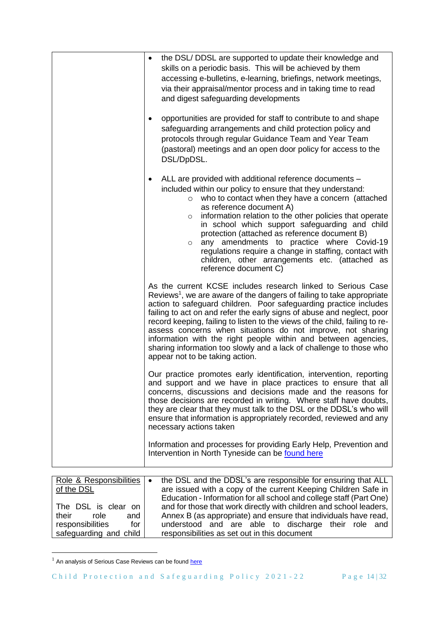| the DSL/DDSL are supported to update their knowledge and<br>skills on a periodic basis. This will be achieved by them<br>accessing e-bulletins, e-learning, briefings, network meetings,<br>via their appraisal/mentor process and in taking time to read<br>and digest safeguarding developments                                                                                                                                                                                                                                                                                                                          |
|----------------------------------------------------------------------------------------------------------------------------------------------------------------------------------------------------------------------------------------------------------------------------------------------------------------------------------------------------------------------------------------------------------------------------------------------------------------------------------------------------------------------------------------------------------------------------------------------------------------------------|
| opportunities are provided for staff to contribute to and shape<br>safeguarding arrangements and child protection policy and<br>protocols through regular Guidance Team and Year Team<br>(pastoral) meetings and an open door policy for access to the<br>DSL/DpDSL.                                                                                                                                                                                                                                                                                                                                                       |
| ALL are provided with additional reference documents -<br>٠<br>included within our policy to ensure that they understand:<br>who to contact when they have a concern (attached<br>$\circ$<br>as reference document A)<br>information relation to the other policies that operate<br>$\circ$<br>in school which support safeguarding and child<br>protection (attached as reference document B)<br>any amendments to practice where Covid-19<br>$\circ$<br>regulations require a change in staffing, contact with<br>children, other arrangements etc. (attached as<br>reference document C)                                |
| As the current KCSE includes research linked to Serious Case<br>Reviews <sup>1</sup> , we are aware of the dangers of failing to take appropriate<br>action to safeguard children. Poor safeguarding practice includes<br>failing to act on and refer the early signs of abuse and neglect, poor<br>record keeping, failing to listen to the views of the child, failing to re-<br>assess concerns when situations do not improve, not sharing<br>information with the right people within and between agencies,<br>sharing information too slowly and a lack of challenge to those who<br>appear not to be taking action. |
| Our practice promotes early identification, intervention, reporting<br>and support and we have in place practices to ensure that all<br>concerns, discussions and decisions made and the reasons for<br>those decisions are recorded in writing. Where staff have doubts,<br>they are clear that they must talk to the DSL or the DDSL's who will<br>ensure that information is appropriately recorded, reviewed and any<br>necessary actions taken                                                                                                                                                                        |
| Information and processes for providing Early Help, Prevention and<br>Intervention in North Tyneside can be found here                                                                                                                                                                                                                                                                                                                                                                                                                                                                                                     |

| Role & Responsibilities<br>of the DSL                                                                         | the DSL and the DDSL's are responsible for ensuring that ALL<br>$\bullet$<br>are issued with a copy of the current Keeping Children Safe in<br>Education - Information for all school and college staff (Part One)                           |
|---------------------------------------------------------------------------------------------------------------|----------------------------------------------------------------------------------------------------------------------------------------------------------------------------------------------------------------------------------------------|
| The DSL is clear on<br>their<br>role<br>and<br>responsibilities<br>for <sub>1</sub><br>safeguarding and child | and for those that work directly with children and school leaders,<br>Annex B (as appropriate) and ensure that individuals have read,<br>understood and are able to discharge their role and<br>responsibilities as set out in this document |

 $1$  An analysis of Serious Case Reviews can be found  $here$ </u>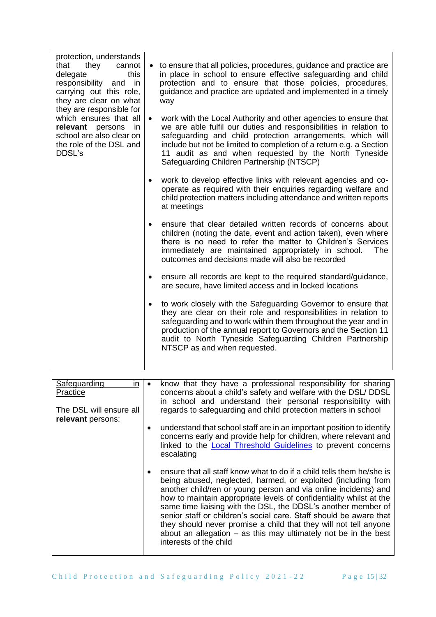| protection, understands<br>they cannot<br>that<br>delegate<br>this<br>responsibility and in<br>carrying out this role,<br>they are clear on what<br>they are responsible for<br>which ensures that all<br>relevant persons in<br>school are also clear on<br>the role of the DSL and<br>DDSL's | to ensure that all policies, procedures, guidance and practice are<br>in place in school to ensure effective safeguarding and child<br>protection and to ensure that those policies, procedures,<br>guidance and practice are updated and implemented in a timely<br>way<br>work with the Local Authority and other agencies to ensure that<br>$\bullet$<br>we are able fulfil our duties and responsibilities in relation to<br>safeguarding and child protection arrangements, which will<br>include but not be limited to completion of a return e.g. a Section<br>11 audit as and when requested by the North Tyneside<br>Safeguarding Children Partnership (NTSCP) |
|------------------------------------------------------------------------------------------------------------------------------------------------------------------------------------------------------------------------------------------------------------------------------------------------|-------------------------------------------------------------------------------------------------------------------------------------------------------------------------------------------------------------------------------------------------------------------------------------------------------------------------------------------------------------------------------------------------------------------------------------------------------------------------------------------------------------------------------------------------------------------------------------------------------------------------------------------------------------------------|
|                                                                                                                                                                                                                                                                                                | work to develop effective links with relevant agencies and co-<br>$\bullet$<br>operate as required with their enquiries regarding welfare and<br>child protection matters including attendance and written reports<br>at meetings                                                                                                                                                                                                                                                                                                                                                                                                                                       |
|                                                                                                                                                                                                                                                                                                | ensure that clear detailed written records of concerns about<br>$\bullet$<br>children (noting the date, event and action taken), even where<br>there is no need to refer the matter to Children's Services<br>immediately are maintained appropriately in school.<br>The<br>outcomes and decisions made will also be recorded                                                                                                                                                                                                                                                                                                                                           |
|                                                                                                                                                                                                                                                                                                | ensure all records are kept to the required standard/guidance,<br>$\bullet$<br>are secure, have limited access and in locked locations                                                                                                                                                                                                                                                                                                                                                                                                                                                                                                                                  |
|                                                                                                                                                                                                                                                                                                | to work closely with the Safeguarding Governor to ensure that<br>$\bullet$<br>they are clear on their role and responsibilities in relation to<br>safeguarding and to work within them throughout the year and in<br>production of the annual report to Governors and the Section 11<br>audit to North Tyneside Safeguarding Children Partnership<br>NTSCP as and when requested.                                                                                                                                                                                                                                                                                       |

| Safeguarding<br>in.<br>Practice<br>The DSL will ensure all<br>relevant persons: | ٠ | know that they have a professional responsibility for sharing<br>concerns about a child's safety and welfare with the DSL/ DDSL<br>in school and understand their personal responsibility with<br>regards to safeguarding and child protection matters in school                                                                                                                                                                                                                                                                                                                           |
|---------------------------------------------------------------------------------|---|--------------------------------------------------------------------------------------------------------------------------------------------------------------------------------------------------------------------------------------------------------------------------------------------------------------------------------------------------------------------------------------------------------------------------------------------------------------------------------------------------------------------------------------------------------------------------------------------|
|                                                                                 |   | understand that school staff are in an important position to identify<br>concerns early and provide help for children, where relevant and<br>linked to the <b>Local Threshold Guidelines</b> to prevent concerns<br>escalating                                                                                                                                                                                                                                                                                                                                                             |
|                                                                                 |   | ensure that all staff know what to do if a child tells them he/she is<br>being abused, neglected, harmed, or exploited (including from<br>another child/ren or young person and via online incidents) and<br>how to maintain appropriate levels of confidentiality whilst at the<br>same time liaising with the DSL, the DDSL's another member of<br>senior staff or children's social care. Staff should be aware that<br>they should never promise a child that they will not tell anyone<br>about an allegation $-$ as this may ultimately not be in the best<br>interests of the child |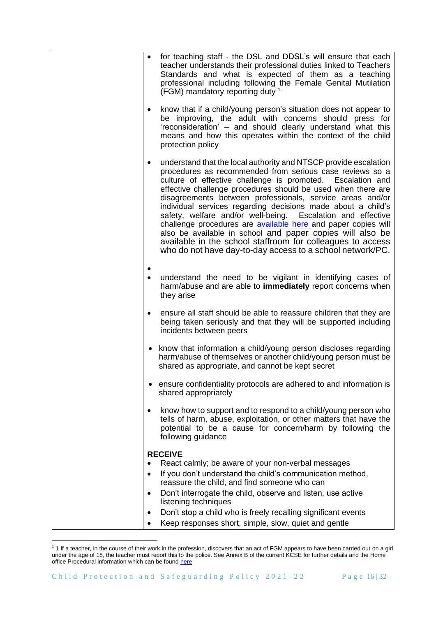|           | for teaching staff - the DSL and DDSL's will ensure that each<br>teacher understands their professional duties linked to Teachers<br>Standards and what is expected of them as a teaching<br>professional including following the Female Genital Mutilation<br>(FGM) mandatory reporting duty 1                                                                                                                                                                                                                                                                                                                                                                                                                 |
|-----------|-----------------------------------------------------------------------------------------------------------------------------------------------------------------------------------------------------------------------------------------------------------------------------------------------------------------------------------------------------------------------------------------------------------------------------------------------------------------------------------------------------------------------------------------------------------------------------------------------------------------------------------------------------------------------------------------------------------------|
|           | know that if a child/young person's situation does not appear to<br>be improving, the adult with concerns should press for<br>'reconsideration' - and should clearly understand what this<br>means and how this operates within the context of the child<br>protection policy                                                                                                                                                                                                                                                                                                                                                                                                                                   |
| $\bullet$ | understand that the local authority and NTSCP provide escalation<br>procedures as recommended from serious case reviews so a<br>culture of effective challenge is promoted. Escalation and<br>effective challenge procedures should be used when there are<br>disagreements between professionals, service areas and/or<br>individual services regarding decisions made about a child's<br>safety, welfare and/or well-being. Escalation and effective<br>challenge procedures are available here and paper copies will<br>also be available in school and paper copies will also be<br>available in the school staffroom for colleagues to access<br>who do not have day-to-day access to a school network/PC. |
|           | understand the need to be vigilant in identifying cases of<br>harm/abuse and are able to immediately report concerns when<br>they arise                                                                                                                                                                                                                                                                                                                                                                                                                                                                                                                                                                         |
| $\bullet$ | ensure all staff should be able to reassure children that they are<br>being taken seriously and that they will be supported including<br>incidents between peers                                                                                                                                                                                                                                                                                                                                                                                                                                                                                                                                                |
|           | • know that information a child/young person discloses regarding<br>harm/abuse of themselves or another child/young person must be<br>shared as appropriate, and cannot be kept secret                                                                                                                                                                                                                                                                                                                                                                                                                                                                                                                          |
|           | ensure confidentiality protocols are adhered to and information is<br>shared appropriately                                                                                                                                                                                                                                                                                                                                                                                                                                                                                                                                                                                                                      |
|           | know how to support and to respond to a child/young person who<br>tells of harm, abuse, exploitation, or other matters that have the<br>potential to be a cause for concern/harm by following the<br>following guidance                                                                                                                                                                                                                                                                                                                                                                                                                                                                                         |
|           | <b>RECEIVE</b>                                                                                                                                                                                                                                                                                                                                                                                                                                                                                                                                                                                                                                                                                                  |
| $\bullet$ | React calmly; be aware of your non-verbal messages                                                                                                                                                                                                                                                                                                                                                                                                                                                                                                                                                                                                                                                              |
|           | If you don't understand the child's communication method,<br>reassure the child, and find someone who can                                                                                                                                                                                                                                                                                                                                                                                                                                                                                                                                                                                                       |
| $\bullet$ | Don't interrogate the child, observe and listen, use active                                                                                                                                                                                                                                                                                                                                                                                                                                                                                                                                                                                                                                                     |
| ٠         | listening techniques<br>Don't stop a child who is freely recalling significant events                                                                                                                                                                                                                                                                                                                                                                                                                                                                                                                                                                                                                           |
| $\bullet$ | Keep responses short, simple, slow, quiet and gentle                                                                                                                                                                                                                                                                                                                                                                                                                                                                                                                                                                                                                                                            |

<sup>&</sup>lt;sup>1</sup> 1 If a teacher, in the course of their work in the profession, discovers that an act of FGM appears to have been carried out on a girl under the age of 18, the teacher must report this to the police. See Annex B of the current KCSE for further details and the Home office Procedural information which can be found [here](https://assets.publishing.service.gov.uk/government/uploads/system/uploads/attachment_data/file/573782/FGM_Mandatory_Reporting_-_procedural_information_nov16_FINAL.pdf)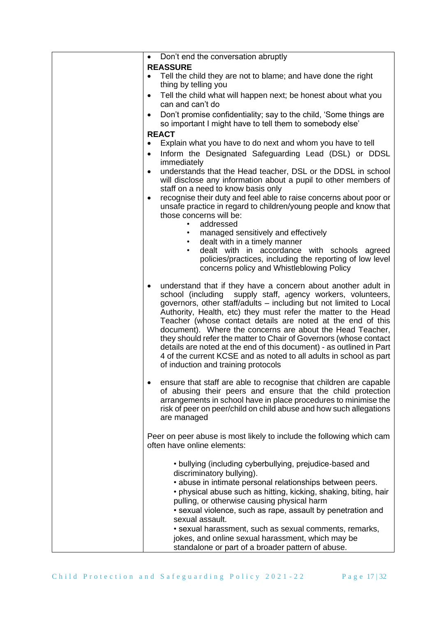| <b>REASSURE</b><br>Tell the child they are not to blame; and have done the right<br>$\bullet$<br>thing by telling you<br>Tell the child what will happen next; be honest about what you<br>٠<br>can and can't do<br>Don't promise confidentiality; say to the child, 'Some things are<br>$\bullet$<br>so important I might have to tell them to somebody else'<br><b>REACT</b><br>Explain what you have to do next and whom you have to tell<br>Inform the Designated Safeguarding Lead (DSL) or DDSL<br>immediately<br>understands that the Head teacher, DSL or the DDSL in school<br>$\bullet$<br>will disclose any information about a pupil to other members of<br>staff on a need to know basis only<br>recognise their duty and feel able to raise concerns about poor or<br>unsafe practice in regard to children/young people and know that<br>those concerns will be:<br>addressed<br>$\bullet$<br>managed sensitively and effectively<br>$\bullet$<br>dealt with in a timely manner<br>$\bullet$<br>dealt with in accordance with schools agreed<br>$\bullet$<br>policies/practices, including the reporting of low level<br>concerns policy and Whistleblowing Policy<br>understand that if they have a concern about another adult in<br>school (including supply staff, agency workers, volunteers,<br>governors, other staff/adults - including but not limited to Local<br>Authority, Health, etc) they must refer the matter to the Head<br>Teacher (whose contact details are noted at the end of this<br>document). Where the concerns are about the Head Teacher,<br>they should refer the matter to Chair of Governors (whose contact<br>details are noted at the end of this document) - as outlined in Part<br>4 of the current KCSE and as noted to all adults in school as part<br>of induction and training protocols<br>ensure that staff are able to recognise that children are capable<br>of abusing their peers and ensure that the child protection<br>arrangements in school have in place procedures to minimise the<br>risk of peer on peer/child on child abuse and how such allegations<br>are managed<br>Peer on peer abuse is most likely to include the following which cam<br>often have online elements: |
|----------------------------------------------------------------------------------------------------------------------------------------------------------------------------------------------------------------------------------------------------------------------------------------------------------------------------------------------------------------------------------------------------------------------------------------------------------------------------------------------------------------------------------------------------------------------------------------------------------------------------------------------------------------------------------------------------------------------------------------------------------------------------------------------------------------------------------------------------------------------------------------------------------------------------------------------------------------------------------------------------------------------------------------------------------------------------------------------------------------------------------------------------------------------------------------------------------------------------------------------------------------------------------------------------------------------------------------------------------------------------------------------------------------------------------------------------------------------------------------------------------------------------------------------------------------------------------------------------------------------------------------------------------------------------------------------------------------------------------------------------------------------------------------------------------------------------------------------------------------------------------------------------------------------------------------------------------------------------------------------------------------------------------------------------------------------------------------------------------------------------------------------------------------------------------------------------------------------------------------------------|
|                                                                                                                                                                                                                                                                                                                                                                                                                                                                                                                                                                                                                                                                                                                                                                                                                                                                                                                                                                                                                                                                                                                                                                                                                                                                                                                                                                                                                                                                                                                                                                                                                                                                                                                                                                                                                                                                                                                                                                                                                                                                                                                                                                                                                                                    |
|                                                                                                                                                                                                                                                                                                                                                                                                                                                                                                                                                                                                                                                                                                                                                                                                                                                                                                                                                                                                                                                                                                                                                                                                                                                                                                                                                                                                                                                                                                                                                                                                                                                                                                                                                                                                                                                                                                                                                                                                                                                                                                                                                                                                                                                    |
|                                                                                                                                                                                                                                                                                                                                                                                                                                                                                                                                                                                                                                                                                                                                                                                                                                                                                                                                                                                                                                                                                                                                                                                                                                                                                                                                                                                                                                                                                                                                                                                                                                                                                                                                                                                                                                                                                                                                                                                                                                                                                                                                                                                                                                                    |
|                                                                                                                                                                                                                                                                                                                                                                                                                                                                                                                                                                                                                                                                                                                                                                                                                                                                                                                                                                                                                                                                                                                                                                                                                                                                                                                                                                                                                                                                                                                                                                                                                                                                                                                                                                                                                                                                                                                                                                                                                                                                                                                                                                                                                                                    |
|                                                                                                                                                                                                                                                                                                                                                                                                                                                                                                                                                                                                                                                                                                                                                                                                                                                                                                                                                                                                                                                                                                                                                                                                                                                                                                                                                                                                                                                                                                                                                                                                                                                                                                                                                                                                                                                                                                                                                                                                                                                                                                                                                                                                                                                    |
|                                                                                                                                                                                                                                                                                                                                                                                                                                                                                                                                                                                                                                                                                                                                                                                                                                                                                                                                                                                                                                                                                                                                                                                                                                                                                                                                                                                                                                                                                                                                                                                                                                                                                                                                                                                                                                                                                                                                                                                                                                                                                                                                                                                                                                                    |
|                                                                                                                                                                                                                                                                                                                                                                                                                                                                                                                                                                                                                                                                                                                                                                                                                                                                                                                                                                                                                                                                                                                                                                                                                                                                                                                                                                                                                                                                                                                                                                                                                                                                                                                                                                                                                                                                                                                                                                                                                                                                                                                                                                                                                                                    |
|                                                                                                                                                                                                                                                                                                                                                                                                                                                                                                                                                                                                                                                                                                                                                                                                                                                                                                                                                                                                                                                                                                                                                                                                                                                                                                                                                                                                                                                                                                                                                                                                                                                                                                                                                                                                                                                                                                                                                                                                                                                                                                                                                                                                                                                    |
|                                                                                                                                                                                                                                                                                                                                                                                                                                                                                                                                                                                                                                                                                                                                                                                                                                                                                                                                                                                                                                                                                                                                                                                                                                                                                                                                                                                                                                                                                                                                                                                                                                                                                                                                                                                                                                                                                                                                                                                                                                                                                                                                                                                                                                                    |
|                                                                                                                                                                                                                                                                                                                                                                                                                                                                                                                                                                                                                                                                                                                                                                                                                                                                                                                                                                                                                                                                                                                                                                                                                                                                                                                                                                                                                                                                                                                                                                                                                                                                                                                                                                                                                                                                                                                                                                                                                                                                                                                                                                                                                                                    |
|                                                                                                                                                                                                                                                                                                                                                                                                                                                                                                                                                                                                                                                                                                                                                                                                                                                                                                                                                                                                                                                                                                                                                                                                                                                                                                                                                                                                                                                                                                                                                                                                                                                                                                                                                                                                                                                                                                                                                                                                                                                                                                                                                                                                                                                    |
|                                                                                                                                                                                                                                                                                                                                                                                                                                                                                                                                                                                                                                                                                                                                                                                                                                                                                                                                                                                                                                                                                                                                                                                                                                                                                                                                                                                                                                                                                                                                                                                                                                                                                                                                                                                                                                                                                                                                                                                                                                                                                                                                                                                                                                                    |
|                                                                                                                                                                                                                                                                                                                                                                                                                                                                                                                                                                                                                                                                                                                                                                                                                                                                                                                                                                                                                                                                                                                                                                                                                                                                                                                                                                                                                                                                                                                                                                                                                                                                                                                                                                                                                                                                                                                                                                                                                                                                                                                                                                                                                                                    |
|                                                                                                                                                                                                                                                                                                                                                                                                                                                                                                                                                                                                                                                                                                                                                                                                                                                                                                                                                                                                                                                                                                                                                                                                                                                                                                                                                                                                                                                                                                                                                                                                                                                                                                                                                                                                                                                                                                                                                                                                                                                                                                                                                                                                                                                    |
|                                                                                                                                                                                                                                                                                                                                                                                                                                                                                                                                                                                                                                                                                                                                                                                                                                                                                                                                                                                                                                                                                                                                                                                                                                                                                                                                                                                                                                                                                                                                                                                                                                                                                                                                                                                                                                                                                                                                                                                                                                                                                                                                                                                                                                                    |
| • bullying (including cyberbullying, prejudice-based and<br>discriminatory bullying).                                                                                                                                                                                                                                                                                                                                                                                                                                                                                                                                                                                                                                                                                                                                                                                                                                                                                                                                                                                                                                                                                                                                                                                                                                                                                                                                                                                                                                                                                                                                                                                                                                                                                                                                                                                                                                                                                                                                                                                                                                                                                                                                                              |
| • abuse in intimate personal relationships between peers.<br>• physical abuse such as hitting, kicking, shaking, biting, hair                                                                                                                                                                                                                                                                                                                                                                                                                                                                                                                                                                                                                                                                                                                                                                                                                                                                                                                                                                                                                                                                                                                                                                                                                                                                                                                                                                                                                                                                                                                                                                                                                                                                                                                                                                                                                                                                                                                                                                                                                                                                                                                      |
| pulling, or otherwise causing physical harm<br>• sexual violence, such as rape, assault by penetration and                                                                                                                                                                                                                                                                                                                                                                                                                                                                                                                                                                                                                                                                                                                                                                                                                                                                                                                                                                                                                                                                                                                                                                                                                                                                                                                                                                                                                                                                                                                                                                                                                                                                                                                                                                                                                                                                                                                                                                                                                                                                                                                                         |
| sexual assault.                                                                                                                                                                                                                                                                                                                                                                                                                                                                                                                                                                                                                                                                                                                                                                                                                                                                                                                                                                                                                                                                                                                                                                                                                                                                                                                                                                                                                                                                                                                                                                                                                                                                                                                                                                                                                                                                                                                                                                                                                                                                                                                                                                                                                                    |
| • sexual harassment, such as sexual comments, remarks,<br>jokes, and online sexual harassment, which may be<br>standalone or part of a broader pattern of abuse.                                                                                                                                                                                                                                                                                                                                                                                                                                                                                                                                                                                                                                                                                                                                                                                                                                                                                                                                                                                                                                                                                                                                                                                                                                                                                                                                                                                                                                                                                                                                                                                                                                                                                                                                                                                                                                                                                                                                                                                                                                                                                   |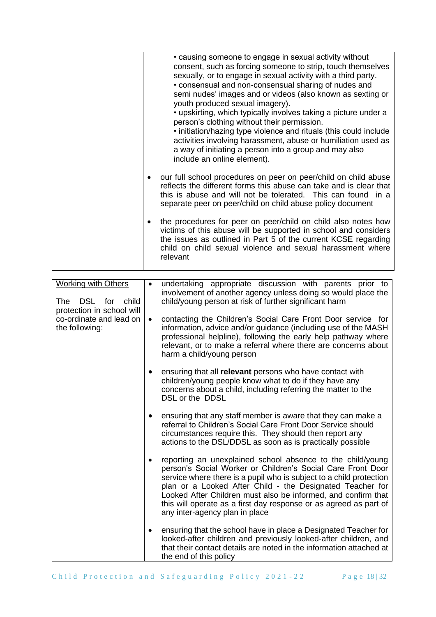|                                                                                                                                 | • causing someone to engage in sexual activity without<br>consent, such as forcing someone to strip, touch themselves<br>sexually, or to engage in sexual activity with a third party.<br>• consensual and non-consensual sharing of nudes and<br>semi nudes' images and or videos (also known as sexting or<br>youth produced sexual imagery).<br>• upskirting, which typically involves taking a picture under a<br>person's clothing without their permission.<br>. initiation/hazing type violence and rituals (this could include<br>activities involving harassment, abuse or humiliation used as<br>a way of initiating a person into a group and may also<br>include an online element).<br>our full school procedures on peer on peer/child on child abuse<br>reflects the different forms this abuse can take and is clear that<br>this is abuse and will not be tolerated. This can found in a<br>separate peer on peer/child on child abuse policy document<br>the procedures for peer on peer/child on child also notes how<br>victims of this abuse will be supported in school and considers<br>the issues as outlined in Part 5 of the current KCSE regarding<br>child on child sexual violence and sexual harassment where<br>relevant |
|---------------------------------------------------------------------------------------------------------------------------------|---------------------------------------------------------------------------------------------------------------------------------------------------------------------------------------------------------------------------------------------------------------------------------------------------------------------------------------------------------------------------------------------------------------------------------------------------------------------------------------------------------------------------------------------------------------------------------------------------------------------------------------------------------------------------------------------------------------------------------------------------------------------------------------------------------------------------------------------------------------------------------------------------------------------------------------------------------------------------------------------------------------------------------------------------------------------------------------------------------------------------------------------------------------------------------------------------------------------------------------------------------|
| <b>Working with Others</b><br>DSL for<br>child<br>The<br>protection in school will<br>co-ordinate and lead on<br>the following: | undertaking appropriate discussion with parents prior to<br>involvement of another agency unless doing so would place the<br>child/young person at risk of further significant harm<br>contacting the Children's Social Care Front Door service for<br>information, advice and/or guidance (including use of the MASH<br>professional helpline), following the early help pathway where<br>relevant, or to make a referral where there are concerns about<br>harm a child/young person<br>ensuring that all relevant persons who have contact with<br>children/young people know what to do if they have any<br>concerns about a child, including referring the matter to the<br>DSL or the DDSL<br>ensuring that any staff member is aware that they can make a<br>referral to Children's Social Care Front Door Service should<br>circumstances require this. They should then report any<br>actions to the DSL/DDSL as soon as is practically possible                                                                                                                                                                                                                                                                                               |
|                                                                                                                                 | reporting an unexplained school absence to the child/young<br>person's Social Worker or Children's Social Care Front Door<br>service where there is a pupil who is subject to a child protection<br>plan or a Looked After Child - the Designated Teacher for<br>Looked After Children must also be informed, and confirm that<br>this will operate as a first day response or as agreed as part of<br>any inter-agency plan in place                                                                                                                                                                                                                                                                                                                                                                                                                                                                                                                                                                                                                                                                                                                                                                                                                   |
|                                                                                                                                 | ensuring that the school have in place a Designated Teacher for<br>looked-after children and previously looked-after children, and<br>that their contact details are noted in the information attached at<br>the end of this policy                                                                                                                                                                                                                                                                                                                                                                                                                                                                                                                                                                                                                                                                                                                                                                                                                                                                                                                                                                                                                     |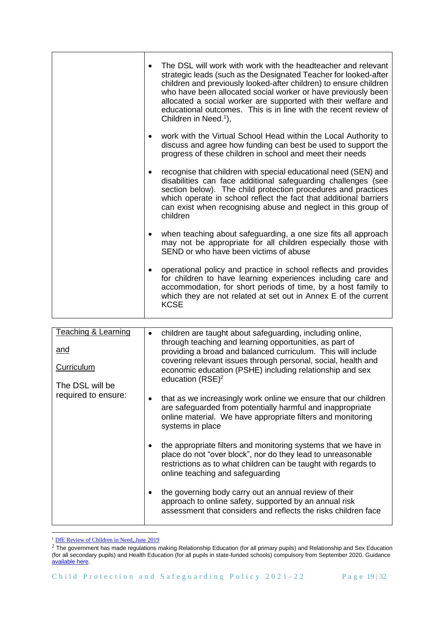| $\bullet$ | The DSL will work with work with the headteacher and relevant<br>strategic leads (such as the Designated Teacher for looked-after<br>children and previously looked-after children) to ensure children<br>who have been allocated social worker or have previously been<br>allocated a social worker are supported with their welfare and<br>educational outcomes. This is in line with the recent review of<br>Children in Need. <sup>1</sup> ), |
|-----------|---------------------------------------------------------------------------------------------------------------------------------------------------------------------------------------------------------------------------------------------------------------------------------------------------------------------------------------------------------------------------------------------------------------------------------------------------|
| $\bullet$ | work with the Virtual School Head within the Local Authority to<br>discuss and agree how funding can best be used to support the<br>progress of these children in school and meet their needs                                                                                                                                                                                                                                                     |
| $\bullet$ | recognise that children with special educational need (SEN) and<br>disabilities can face additional safeguarding challenges (see<br>section below). The child protection procedures and practices<br>which operate in school reflect the fact that additional barriers<br>can exist when recognising abuse and neglect in this group of<br>children                                                                                               |
| $\bullet$ | when teaching about safeguarding, a one size fits all approach<br>may not be appropriate for all children especially those with<br>SEND or who have been victims of abuse                                                                                                                                                                                                                                                                         |
| $\bullet$ | operational policy and practice in school reflects and provides<br>for children to have learning experiences including care and<br>accommodation, for short periods of time, by a host family to<br>which they are not related at set out in Annex E of the current<br><b>KCSE</b>                                                                                                                                                                |

| Teaching & Learning<br>and<br><b>Curriculum</b><br>The DSL will be | children are taught about safeguarding, including online,<br>through teaching and learning opportunities, as part of<br>providing a broad and balanced curriculum. This will include<br>covering relevant issues through personal, social, health and<br>economic education (PSHE) including relationship and sex<br>education $(RSE)^2$ |
|--------------------------------------------------------------------|------------------------------------------------------------------------------------------------------------------------------------------------------------------------------------------------------------------------------------------------------------------------------------------------------------------------------------------|
| required to ensure:                                                | that as we increasingly work online we ensure that our children<br>are safeguarded from potentially harmful and inappropriate<br>online material. We have appropriate filters and monitoring<br>systems in place                                                                                                                         |
|                                                                    | the appropriate filters and monitoring systems that we have in<br>place do not "over block", nor do they lead to unreasonable<br>restrictions as to what children can be taught with regards to<br>online teaching and safeguarding                                                                                                      |
|                                                                    | the governing body carry out an annual review of their<br>approach to online safety, supported by an annual risk<br>assessment that considers and reflects the risks children face                                                                                                                                                       |

<sup>&</sup>lt;sup>1</sup> [DfE Review of Children in Need, June 2019](https://www.gov.uk/government/publications/review-of-children-in-need/review-of-children-in-need)

 $^2$  The government has made regulations making Relationship Education (for all primary pupils) and Relationship and Sex Education (for all secondary pupils) and Health Education (for all pupils in state-funded schools) compulsory from September 2020. Guidance [available here.](https://www.gov.uk/government/publications/relationships-education-relationships-and-sex-education-rse-and-health-education/implementation-of-relationships-education-relationships-and-sex-education-and-health-education-2020-to-2021)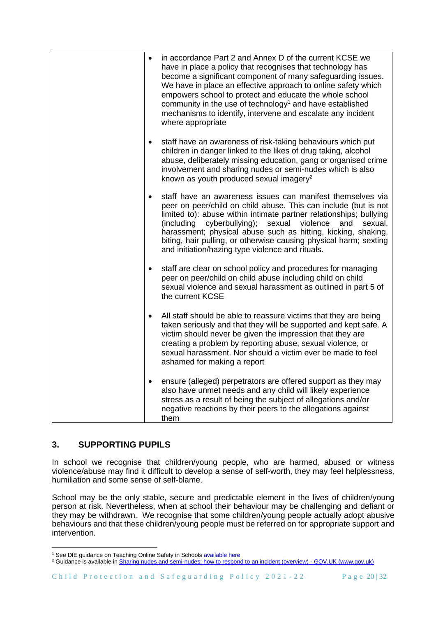| $\bullet$ | in accordance Part 2 and Annex D of the current KCSE we<br>have in place a policy that recognises that technology has<br>become a significant component of many safeguarding issues.<br>We have in place an effective approach to online safety which<br>empowers school to protect and educate the whole school<br>community in the use of technology <sup>1</sup> and have established<br>mechanisms to identify, intervene and escalate any incident<br>where appropriate |
|-----------|------------------------------------------------------------------------------------------------------------------------------------------------------------------------------------------------------------------------------------------------------------------------------------------------------------------------------------------------------------------------------------------------------------------------------------------------------------------------------|
|           | staff have an awareness of risk-taking behaviours which put<br>children in danger linked to the likes of drug taking, alcohol<br>abuse, deliberately missing education, gang or organised crime<br>involvement and sharing nudes or semi-nudes which is also<br>known as youth produced sexual imagery <sup>2</sup>                                                                                                                                                          |
|           | staff have an awareness issues can manifest themselves via<br>peer on peer/child on child abuse. This can include (but is not<br>limited to): abuse within intimate partner relationships; bullying<br>(including<br>cyberbullying);<br>sexual<br>violence<br>sexual,<br>and<br>harassment; physical abuse such as hitting, kicking, shaking,<br>biting, hair pulling, or otherwise causing physical harm; sexting<br>and initiation/hazing type violence and rituals.       |
| $\bullet$ | staff are clear on school policy and procedures for managing<br>peer on peer/child on child abuse including child on child<br>sexual violence and sexual harassment as outlined in part 5 of<br>the current KCSE                                                                                                                                                                                                                                                             |
| $\bullet$ | All staff should be able to reassure victims that they are being<br>taken seriously and that they will be supported and kept safe. A<br>victim should never be given the impression that they are<br>creating a problem by reporting abuse, sexual violence, or<br>sexual harassment. Nor should a victim ever be made to feel<br>ashamed for making a report                                                                                                                |
|           | ensure (alleged) perpetrators are offered support as they may<br>also have unmet needs and any child will likely experience<br>stress as a result of being the subject of allegations and/or<br>negative reactions by their peers to the allegations against<br>them                                                                                                                                                                                                         |

# **3. SUPPORTING PUPILS**

In school we recognise that children/young people, who are harmed, abused or witness violence/abuse may find it difficult to develop a sense of self-worth, they may feel helplessness, humiliation and some sense of self-blame.

School may be the only stable, secure and predictable element in the lives of children/young person at risk. Nevertheless, when at school their behaviour may be challenging and defiant or they may be withdrawn. We recognise that some children/young people actually adopt abusive behaviours and that these children/young people must be referred on for appropriate support and intervention.

<sup>&</sup>lt;sup>1</sup> See DfE guidance on Teaching Online Safety in School[s available here](https://www.gov.uk/government/publications/teaching-online-safety-in-schools)

<sup>&</sup>lt;sup>2</sup> Guidance is available i[n Sharing nudes and semi-nudes: how to respond to an incident \(overview\) -](https://www.gov.uk/government/publications/sharing-nudes-and-semi-nudes-advice-for-education-settings-working-with-children-and-young-people/sharing-nudes-and-semi-nudes-how-to-respond-to-an-incident-overview) GOV.UK (www.gov.uk)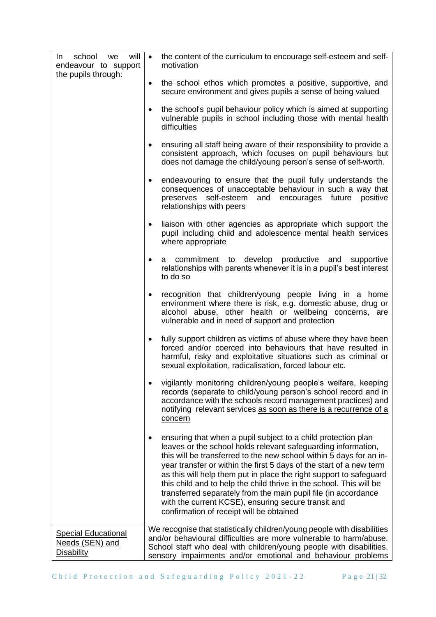| will<br>school<br>In<br>we<br>endeavour to support<br>the pupils through: | $\bullet$ | the content of the curriculum to encourage self-esteem and self-<br>motivation                                                                                                                                                                                                                                                                                                                                                                                                                                                                                                                 |
|---------------------------------------------------------------------------|-----------|------------------------------------------------------------------------------------------------------------------------------------------------------------------------------------------------------------------------------------------------------------------------------------------------------------------------------------------------------------------------------------------------------------------------------------------------------------------------------------------------------------------------------------------------------------------------------------------------|
|                                                                           | $\bullet$ | the school ethos which promotes a positive, supportive, and<br>secure environment and gives pupils a sense of being valued                                                                                                                                                                                                                                                                                                                                                                                                                                                                     |
|                                                                           | $\bullet$ | the school's pupil behaviour policy which is aimed at supporting<br>vulnerable pupils in school including those with mental health<br>difficulties                                                                                                                                                                                                                                                                                                                                                                                                                                             |
|                                                                           | $\bullet$ | ensuring all staff being aware of their responsibility to provide a<br>consistent approach, which focuses on pupil behaviours but<br>does not damage the child/young person's sense of self-worth.                                                                                                                                                                                                                                                                                                                                                                                             |
|                                                                           | $\bullet$ | endeavouring to ensure that the pupil fully understands the<br>consequences of unacceptable behaviour in such a way that<br>preserves self-esteem<br>and<br>encourages future<br>positive<br>relationships with peers                                                                                                                                                                                                                                                                                                                                                                          |
|                                                                           | $\bullet$ | liaison with other agencies as appropriate which support the<br>pupil including child and adolescence mental health services<br>where appropriate                                                                                                                                                                                                                                                                                                                                                                                                                                              |
|                                                                           | ٠         | a commitment to develop productive and supportive<br>relationships with parents whenever it is in a pupil's best interest<br>to do so                                                                                                                                                                                                                                                                                                                                                                                                                                                          |
|                                                                           | $\bullet$ | recognition that children/young people living in a home<br>environment where there is risk, e.g. domestic abuse, drug or<br>alcohol abuse, other health or wellbeing concerns, are<br>vulnerable and in need of support and protection                                                                                                                                                                                                                                                                                                                                                         |
|                                                                           | $\bullet$ | fully support children as victims of abuse where they have been<br>forced and/or coerced into behaviours that have resulted in<br>harmful, risky and exploitative situations such as criminal or<br>sexual exploitation, radicalisation, forced labour etc.                                                                                                                                                                                                                                                                                                                                    |
|                                                                           |           | vigilantly monitoring children/young people's welfare, keeping<br>records (separate to child/young person's school record and in<br>accordance with the schools record management practices) and<br>notifying relevant services as soon as there is a recurrence of a<br>concern                                                                                                                                                                                                                                                                                                               |
|                                                                           |           | ensuring that when a pupil subject to a child protection plan<br>leaves or the school holds relevant safeguarding information,<br>this will be transferred to the new school within 5 days for an in-<br>year transfer or within the first 5 days of the start of a new term<br>as this will help them put in place the right support to safeguard<br>this child and to help the child thrive in the school. This will be<br>transferred separately from the main pupil file (in accordance<br>with the current KCSE), ensuring secure transit and<br>confirmation of receipt will be obtained |
| <b>Special Educational</b><br>Needs (SEN) and<br><b>Disability</b>        |           | We recognise that statistically children/young people with disabilities<br>and/or behavioural difficulties are more vulnerable to harm/abuse.<br>School staff who deal with children/young people with disabilities,<br>sensory impairments and/or emotional and behaviour problems                                                                                                                                                                                                                                                                                                            |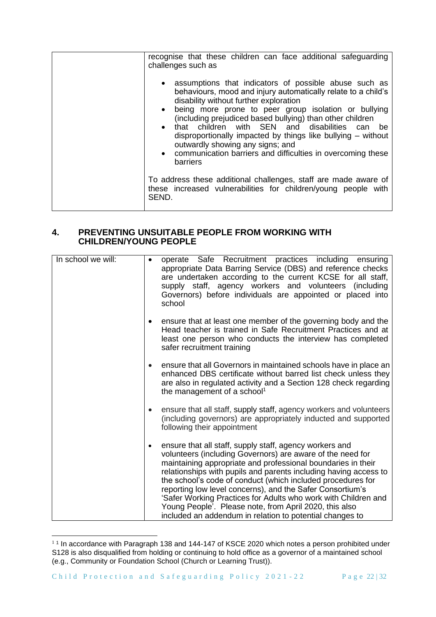| recognise that these children can face additional safeguarding<br>challenges such as                                                                                                                                                                                                                                                                                                                                                                                                                                                                               |
|--------------------------------------------------------------------------------------------------------------------------------------------------------------------------------------------------------------------------------------------------------------------------------------------------------------------------------------------------------------------------------------------------------------------------------------------------------------------------------------------------------------------------------------------------------------------|
| assumptions that indicators of possible abuse such as<br>$\bullet$<br>behaviours, mood and injury automatically relate to a child's<br>disability without further exploration<br>being more prone to peer group isolation or bullying<br>$\bullet$<br>(including prejudiced based bullying) than other children<br>that children with SEN and disabilities can<br>be<br>$\bullet$<br>disproportionally impacted by things like bullying - without<br>outwardly showing any signs; and<br>• communication barriers and difficulties in overcoming these<br>barriers |
| To address these additional challenges, staff are made aware of<br>these increased vulnerabilities for children/young people with<br>SEND.                                                                                                                                                                                                                                                                                                                                                                                                                         |

# **4. PREVENTING UNSUITABLE PEOPLE FROM WORKING WITH CHILDREN/YOUNG PEOPLE**

| In school we will: |           | operate Safe Recruitment practices including ensuring<br>appropriate Data Barring Service (DBS) and reference checks<br>are undertaken according to the current KCSE for all staff,<br>supply staff, agency workers and volunteers (including<br>Governors) before individuals are appointed or placed into<br>school                                                                                                                                                                                                                                                         |
|--------------------|-----------|-------------------------------------------------------------------------------------------------------------------------------------------------------------------------------------------------------------------------------------------------------------------------------------------------------------------------------------------------------------------------------------------------------------------------------------------------------------------------------------------------------------------------------------------------------------------------------|
|                    | $\bullet$ | ensure that at least one member of the governing body and the<br>Head teacher is trained in Safe Recruitment Practices and at<br>least one person who conducts the interview has completed<br>safer recruitment training                                                                                                                                                                                                                                                                                                                                                      |
|                    | $\bullet$ | ensure that all Governors in maintained schools have in place an<br>enhanced DBS certificate without barred list check unless they<br>are also in regulated activity and a Section 128 check regarding<br>the management of a school <sup>1</sup>                                                                                                                                                                                                                                                                                                                             |
|                    | $\bullet$ | ensure that all staff, supply staff, agency workers and volunteers<br>(including governors) are appropriately inducted and supported<br>following their appointment                                                                                                                                                                                                                                                                                                                                                                                                           |
|                    | $\bullet$ | ensure that all staff, supply staff, agency workers and<br>volunteers (including Governors) are aware of the need for<br>maintaining appropriate and professional boundaries in their<br>relationships with pupils and parents including having access to<br>the school's code of conduct (which included procedures for<br>reporting low level concerns), and the Safer Consortium's<br>'Safer Working Practices for Adults who work with Children and<br>Young People'. Please note, from April 2020, this also<br>included an addendum in relation to potential changes to |

 $11$  In accordance with Paragraph 138 and 144-147 of KSCE 2020 which notes a person prohibited under S128 is also disqualified from holding or continuing to hold office as a governor of a maintained school (e.g., Community or Foundation School (Church or Learning Trust)).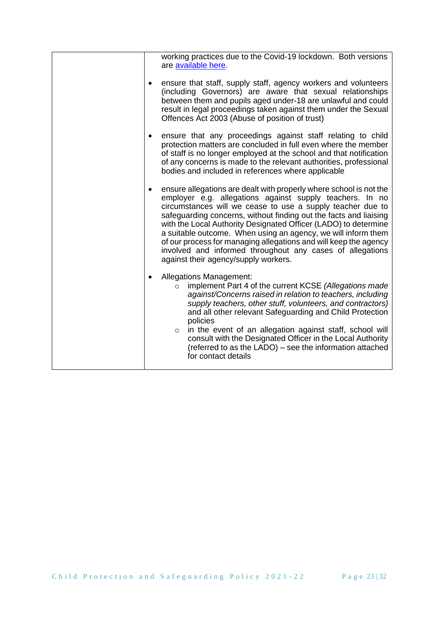|           | working practices due to the Covid-19 lockdown. Both versions<br>are available here.                                                                                                                                                                                                                                                                                                                                                                                                                                                                                           |
|-----------|--------------------------------------------------------------------------------------------------------------------------------------------------------------------------------------------------------------------------------------------------------------------------------------------------------------------------------------------------------------------------------------------------------------------------------------------------------------------------------------------------------------------------------------------------------------------------------|
| ٠         | ensure that staff, supply staff, agency workers and volunteers<br>(including Governors) are aware that sexual relationships<br>between them and pupils aged under-18 are unlawful and could<br>result in legal proceedings taken against them under the Sexual<br>Offences Act 2003 (Abuse of position of trust)                                                                                                                                                                                                                                                               |
|           | ensure that any proceedings against staff relating to child<br>protection matters are concluded in full even where the member<br>of staff is no longer employed at the school and that notification<br>of any concerns is made to the relevant authorities, professional<br>bodies and included in references where applicable                                                                                                                                                                                                                                                 |
|           | ensure allegations are dealt with properly where school is not the<br>employer e.g. allegations against supply teachers. In no<br>circumstances will we cease to use a supply teacher due to<br>safeguarding concerns, without finding out the facts and liaising<br>with the Local Authority Designated Officer (LADO) to determine<br>a suitable outcome. When using an agency, we will inform them<br>of our process for managing allegations and will keep the agency<br>involved and informed throughout any cases of allegations<br>against their agency/supply workers. |
| $\bullet$ | <b>Allegations Management:</b><br>implement Part 4 of the current KCSE (Allegations made<br>$\circ$<br>against/Concerns raised in relation to teachers, including<br>supply teachers, other stuff, volunteers, and contractors)<br>and all other relevant Safeguarding and Child Protection<br>policies<br>in the event of an allegation against staff, school will<br>$\circ$<br>consult with the Designated Officer in the Local Authority<br>(referred to as the LADO) - see the information attached<br>for contact details                                                |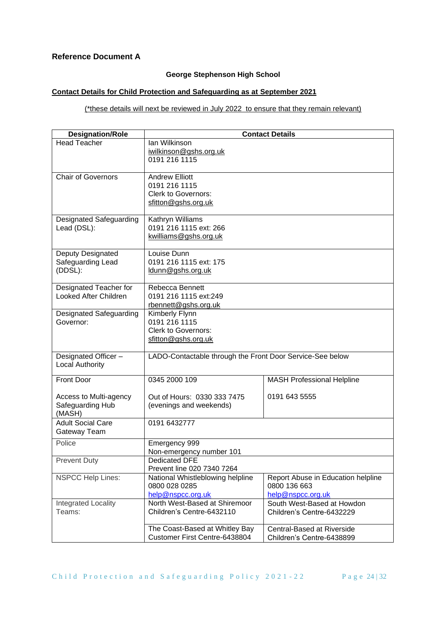# **Reference Document A**

# **George Stephenson High School**

## **Contact Details for Child Protection and Safeguarding as at September 2021**

(\*these details will next be reviewed in July 2022 to ensure that they remain relevant)

| <b>Designation/Role</b>                                | <b>Contact Details</b>                                                                      |                                                                         |  |  |
|--------------------------------------------------------|---------------------------------------------------------------------------------------------|-------------------------------------------------------------------------|--|--|
| <b>Head Teacher</b>                                    | Ian Wilkinson<br>iwilkinson@gshs.org.uk<br>0191 216 1115                                    |                                                                         |  |  |
| <b>Chair of Governors</b>                              | <b>Andrew Elliott</b><br>0191 216 1115<br><b>Clerk to Governors:</b><br>sfitton@gshs.org.uk |                                                                         |  |  |
| Designated Safeguarding<br>Lead (DSL):                 | Kathryn Williams<br>0191 216 1115 ext: 266<br>kwilliams@gshs.org.uk                         |                                                                         |  |  |
| Deputy Designated<br>Safeguarding Lead<br>(DDSL):      | Louise Dunn<br>0191 216 1115 ext: 175<br>ldunn@gshs.org.uk                                  |                                                                         |  |  |
| Designated Teacher for<br><b>Looked After Children</b> | Rebecca Bennett<br>0191 216 1115 ext:249<br>rbennett@gshs.org.uk                            |                                                                         |  |  |
| Designated Safeguarding<br>Governor:                   | Kimberly Flynn<br>0191 216 1115<br><b>Clerk to Governors:</b><br>sfitton@gshs.org.uk        |                                                                         |  |  |
| Designated Officer-<br>Local Authority                 | LADO-Contactable through the Front Door Service-See below                                   |                                                                         |  |  |
| <b>Front Door</b>                                      | 0345 2000 109                                                                               | <b>MASH Professional Helpline</b>                                       |  |  |
| Access to Multi-agency<br>Safeguarding Hub<br>(MASH)   | Out of Hours: 0330 333 7475<br>(evenings and weekends)                                      | 0191 643 5555                                                           |  |  |
| <b>Adult Social Care</b><br>Gateway Team               | 0191 6432777                                                                                |                                                                         |  |  |
| Police                                                 | Emergency 999<br>Non-emergency number 101                                                   |                                                                         |  |  |
| <b>Prevent Duty</b>                                    | <b>Dedicated DFE</b><br>Prevent line 020 7340 7264                                          |                                                                         |  |  |
| <b>NSPCC Help Lines:</b>                               | National Whistleblowing helpline<br>0800 028 0285<br>help@nspcc.org.uk                      | Report Abuse in Education helpline<br>0800 136 663<br>help@nspcc.org.uk |  |  |
| <b>Integrated Locality</b><br>Teams:                   | North West-Based at Shiremoor<br>Children's Centre-6432110                                  | South West-Based at Howdon<br>Children's Centre-6432229                 |  |  |
|                                                        | The Coast-Based at Whitley Bay<br>Customer First Centre-6438804                             | Central-Based at Riverside<br>Children's Centre-6438899                 |  |  |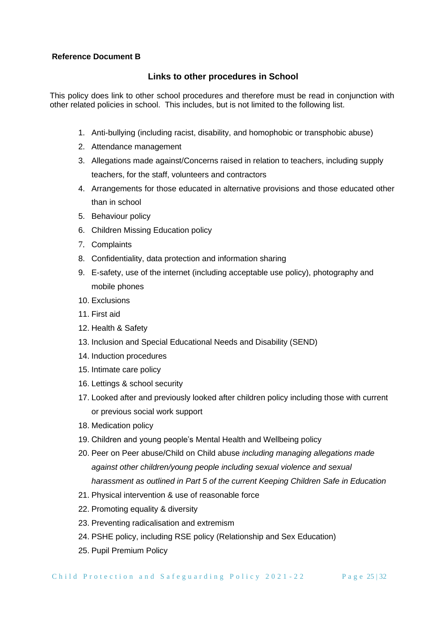# **Reference Document B**

# **Links to other procedures in School**

This policy does link to other school procedures and therefore must be read in conjunction with other related policies in school. This includes, but is not limited to the following list.

- 1. Anti-bullying (including racist, disability, and homophobic or transphobic abuse)
- 2. Attendance management
- 3. Allegations made against/Concerns raised in relation to teachers, including supply teachers, for the staff, volunteers and contractors
- 4. Arrangements for those educated in alternative provisions and those educated other than in school
- 5. Behaviour policy
- 6. Children Missing Education policy
- 7. Complaints
- 8. Confidentiality, data protection and information sharing
- 9. E-safety, use of the internet (including acceptable use policy), photography and mobile phones
- 10. Exclusions
- 11. First aid
- 12. Health & Safety
- 13. Inclusion and Special Educational Needs and Disability (SEND)
- 14. Induction procedures
- 15. Intimate care policy
- 16. Lettings & school security
- 17. Looked after and previously looked after children policy including those with current or previous social work support
- 18. Medication policy
- 19. Children and young people's Mental Health and Wellbeing policy
- 20. Peer on Peer abuse/Child on Child abuse *including managing allegations made against other children/young people including sexual violence and sexual harassment as outlined in Part 5 of the current Keeping Children Safe in Education*
- 21. Physical intervention & use of reasonable force
- 22. Promoting equality & diversity
- 23. Preventing radicalisation and extremism
- 24. PSHE policy, including RSE policy (Relationship and Sex Education)
- 25. Pupil Premium Policy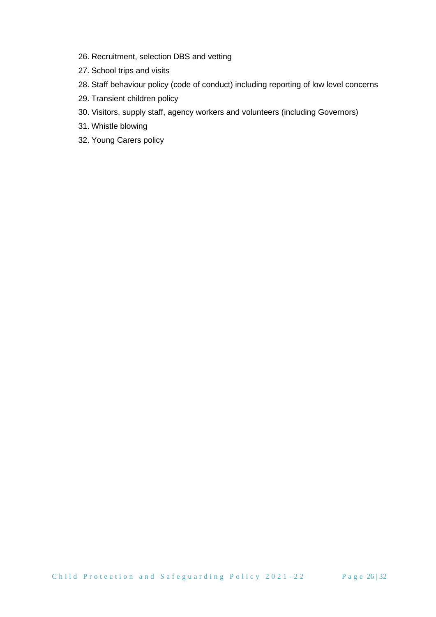- 26. Recruitment, selection DBS and vetting
- 27. School trips and visits
- 28. Staff behaviour policy (code of conduct) including reporting of low level concerns
- 29. Transient children policy
- 30. Visitors, supply staff, agency workers and volunteers (including Governors)
- 31. Whistle blowing
- 32. Young Carers policy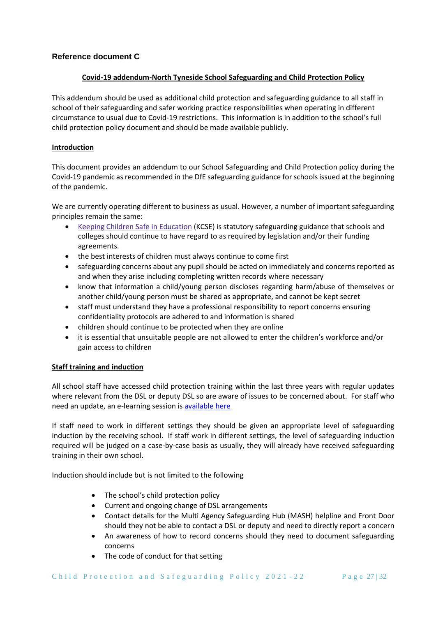# **Reference document C**

#### **Covid-19 addendum-North Tyneside School Safeguarding and Child Protection Policy**

This addendum should be used as additional child protection and safeguarding guidance to all staff in school of their safeguarding and safer working practice responsibilities when operating in different circumstance to usual due to Covid-19 restrictions. This information is in addition to the school's full child protection policy document and should be made available publicly.

#### **Introduction**

This document provides an addendum to our School Safeguarding and Child Protection policy during the Covid-19 pandemic as recommended in the DfE safeguarding guidance for schools issued at the beginning of the pandemic.

We are currently operating different to business as usual. However, a number of important safeguarding principles remain the same:

- Keeping Children Safe in [Education](https://www.gov.uk/government/publications/keeping-children-safe-in-education--2) (KCSE) is statutory safeguarding guidance that schools and colleges should continue to have regard to as required by legislation and/or their funding agreements.
- the best interests of children must always continue to come first
- safeguarding concerns about any pupil should be acted on immediately and concerns reported as and when they arise including completing written records where necessary
- know that information a child/young person discloses regarding harm/abuse of themselves or another child/young person must be shared as appropriate, and cannot be kept secret
- staff must understand they have a professional responsibility to report concerns ensuring confidentiality protocols are adhered to and information is shared
- children should continue to be protected when they are online
- it is essential that unsuitable people are not allowed to enter the children's workforce and/or gain access to children

## **Staff training and induction**

All school staff have accessed child protection training within the last three years with regular updates where relevant from the DSL or deputy DSL so are aware of issues to be concerned about. For staff who need an update, an e-learning session is [available here](https://forms.gle/nfUcyuCvUkFcKEVs6)

If staff need to work in different settings they should be given an appropriate level of safeguarding induction by the receiving school. If staff work in different settings, the level of safeguarding induction required will be judged on a case-by-case basis as usually, they will already have received safeguarding training in their own school.

Induction should include but is not limited to the following

- The school's child protection policy
- Current and ongoing change of DSL arrangements
- Contact details for the Multi Agency Safeguarding Hub (MASH) helpline and Front Door should they not be able to contact a DSL or deputy and need to directly report a concern
- An awareness of how to record concerns should they need to document safeguarding concerns
- The code of conduct for that setting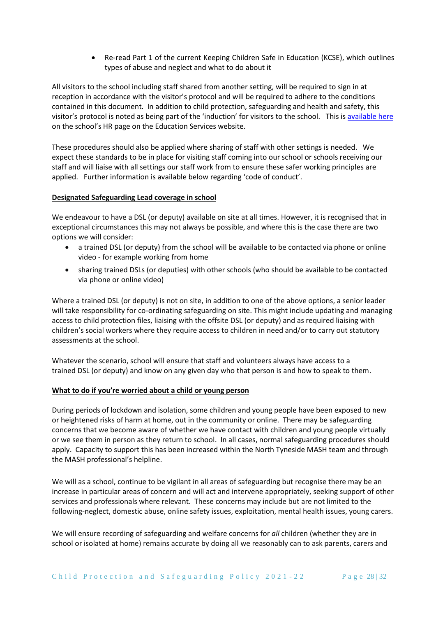• Re-read Part 1 of the current Keeping Children Safe in Education (KCSE), which outlines types of abuse and neglect and what to do about it

All visitors to the school including staff shared from another setting, will be required to sign in at reception in accordance with the visitor's protocol and will be required to adhere to the conditions contained in this document. In addition to child protection, safeguarding and health and safety, this visitor's protocol is noted as being part of the 'induction' for visitors to the school. This i[s available here](https://secure2.sla-online.co.uk/v3/Resources/Page/11216) on the school's HR page on the Education Services website.

These procedures should also be applied where sharing of staff with other settings is needed. We expect these standards to be in place for visiting staff coming into our school or schools receiving our staff and will liaise with all settings our staff work from to ensure these safer working principles are applied. Further information is available below regarding 'code of conduct'.

## **Designated Safeguarding Lead coverage in school**

We endeavour to have a DSL (or deputy) available on site at all times. However, it is recognised that in exceptional circumstances this may not always be possible, and where this is the case there are two options we will consider:

- a trained DSL (or deputy) from the school will be available to be contacted via phone or online video - for example working from home
- sharing trained DSLs (or deputies) with other schools (who should be available to be contacted via phone or online video)

Where a trained DSL (or deputy) is not on site, in addition to one of the above options, a senior leader will take responsibility for co-ordinating safeguarding on site. This might include updating and managing access to child protection files, liaising with the offsite DSL (or deputy) and as required liaising with children's social workers where they require access to children in need and/or to carry out statutory assessments at the school.

Whatever the scenario, school will ensure that staff and volunteers always have access to a trained DSL (or deputy) and know on any given day who that person is and how to speak to them.

#### **What to do if you're worried about a child or young person**

During periods of lockdown and isolation, some children and young people have been exposed to new or heightened risks of harm at home, out in the community or online. There may be safeguarding concerns that we become aware of whether we have contact with children and young people virtually or we see them in person as they return to school. In all cases, normal safeguarding procedures should apply. Capacity to support this has been increased within the North Tyneside MASH team and through the MASH professional's helpline.

We will as a school, continue to be vigilant in all areas of safeguarding but recognise there may be an increase in particular areas of concern and will act and intervene appropriately, seeking support of other services and professionals where relevant. These concerns may include but are not limited to the following-neglect, domestic abuse, online safety issues, exploitation, mental health issues, young carers.

We will ensure recording of safeguarding and welfare concerns for *all* children (whether they are in school or isolated at home) remains accurate by doing all we reasonably can to ask parents, carers and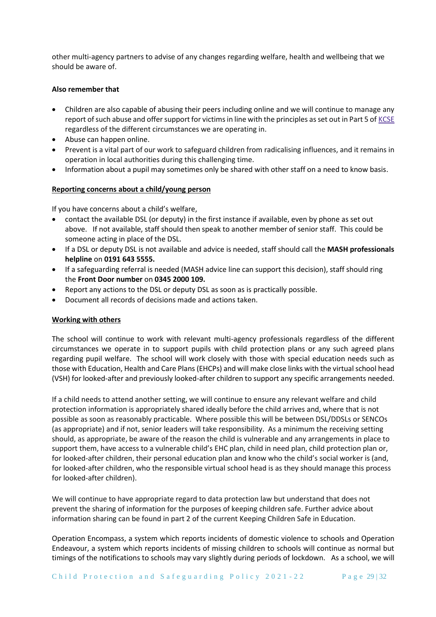other multi-agency partners to advise of any changes regarding welfare, health and wellbeing that we should be aware of.

## **Also remember that**

- Children are also capable of abusing their peers including online and we will continue to manage any report of such abuse and offer support for victims in line with the principles as set out in Part 5 of [KCSE](https://www.gov.uk/government/publications/keeping-children-safe-in-education--2) regardless of the different circumstances we are operating in.
- Abuse can happen online.
- Prevent is a vital part of our work to safeguard children from radicalising influences, and it remains in operation in local authorities during this challenging time.
- Information about a pupil may sometimes only be shared with other staff on a need to know basis.

## **Reporting concerns about a child/young person**

If you have concerns about a child's welfare,

- contact the available DSL (or deputy) in the first instance if available, even by phone as set out above. If not available, staff should then speak to another member of senior staff. This could be someone acting in place of the DSL.
- If a DSL or deputy DSL is not available and advice is needed, staff should call the **MASH professionals helpline** on **0191 643 5555.**
- If a safeguarding referral is needed (MASH advice line can support this decision), staff should ring the **Front Door number** on **0345 2000 109.**
- Report any actions to the DSL or deputy DSL as soon as is practically possible.
- Document all records of decisions made and actions taken.

## **Working with others**

The school will continue to work with relevant multi-agency professionals regardless of the different circumstances we operate in to support pupils with child protection plans or any such agreed plans regarding pupil welfare. The school will work closely with those with special education needs such as those with Education, Health and Care Plans (EHCPs) and will make close links with the virtual school head (VSH) for looked-after and previously looked-after children to support any specific arrangements needed.

If a child needs to attend another setting, we will continue to ensure any relevant welfare and child protection information is appropriately shared ideally before the child arrives and, where that is not possible as soon as reasonably practicable. Where possible this will be between DSL/DDSLs or SENCOs (as appropriate) and if not, senior leaders will take responsibility. As a minimum the receiving setting should, as appropriate, be aware of the reason the child is vulnerable and any arrangements in place to support them, have access to a vulnerable child's EHC plan, child in need plan, child protection plan or, for looked-after children, their personal education plan and know who the child's social worker is (and, for looked-after children, who the responsible virtual school head is as they should manage this process for looked-after children).

We will continue to have appropriate regard to data protection law but understand that does not prevent the sharing of information for the purposes of keeping children safe. Further advice about information sharing can be found in part 2 of the current Keeping Children Safe in Education.

Operation Encompass, a system which reports incidents of domestic violence to schools and Operation Endeavour, a system which reports incidents of missing children to schools will continue as normal but timings of the notifications to schools may vary slightly during periods of lockdown. As a school, we will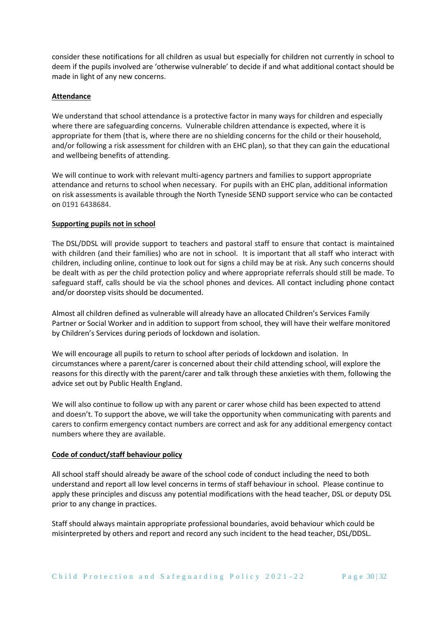consider these notifications for all children as usual but especially for children not currently in school to deem if the pupils involved are 'otherwise vulnerable' to decide if and what additional contact should be made in light of any new concerns.

#### **Attendance**

We understand that school attendance is a protective factor in many ways for children and especially where there are safeguarding concerns. Vulnerable children attendance is expected, where it is appropriate for them (that is, where there are no shielding concerns for the child or their household, and/or following a risk assessment for children with an EHC plan), so that they can gain the educational and wellbeing benefits of attending.

We will continue to work with relevant multi-agency partners and families to support appropriate attendance and returns to school when necessary. For pupils with an EHC plan, additional information on risk assessments is available through the North Tyneside SEND support service who can be contacted on 0191 6438684.

#### **Supporting pupils not in school**

The DSL/DDSL will provide support to teachers and pastoral staff to ensure that contact is maintained with children (and their families) who are not in school. It is important that all staff who interact with children, including online, continue to look out for signs a child may be at risk. Any such concerns should be dealt with as per the child protection policy and where appropriate referrals should still be made. To safeguard staff, calls should be via the school phones and devices. All contact including phone contact and/or doorstep visits should be documented.

Almost all children defined as vulnerable will already have an allocated Children's Services Family Partner or Social Worker and in addition to support from school, they will have their welfare monitored by Children's Services during periods of lockdown and isolation.

We will encourage all pupils to return to school after periods of lockdown and isolation. In circumstances where a parent/carer is concerned about their child attending school, will explore the reasons for this directly with the parent/carer and talk through these anxieties with them, following the advice set out by Public Health England.

We will also continue to follow up with any parent or carer whose child has been expected to attend and doesn't. To support the above, we will take the opportunity when communicating with parents and carers to confirm emergency contact numbers are correct and ask for any additional emergency contact numbers where they are available.

#### **Code of conduct/staff behaviour policy**

All school staff should already be aware of the school code of conduct including the need to both understand and report all low level concerns in terms of staff behaviour in school. Please continue to apply these principles and discuss any potential modifications with the head teacher, DSL or deputy DSL prior to any change in practices.

Staff should always maintain appropriate professional boundaries, avoid behaviour which could be misinterpreted by others and report and record any such incident to the head teacher, DSL/DDSL.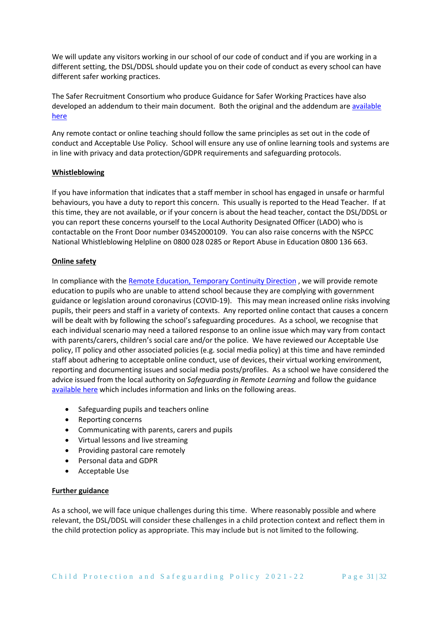We will update any visitors working in our school of our code of conduct and if you are working in a different setting, the DSL/DDSL should update you on their code of conduct as every school can have different safer working practices.

The Safer Recruitment Consortium who produce Guidance for Safer Working Practices have also developed an addendum to their main document. Both the original and the addendum are [available](https://www.saferrecruitmentconsortium.org/)  [here](https://www.saferrecruitmentconsortium.org/)

Any remote contact or online teaching should follow the same principles as set out in the code of conduct and Acceptable Use Policy. School will ensure any use of online learning tools and systems are in line with privacy and data protection/GDPR requirements and safeguarding protocols.

#### **Whistleblowing**

If you have information that indicates that a staff member in school has engaged in unsafe or harmful behaviours, you have a duty to report this concern. This usually is reported to the Head Teacher. If at this time, they are not available, or if your concern is about the head teacher, contact the DSL/DDSL or you can report these concerns yourself to the Local Authority Designated Officer (LADO) who is contactable on the Front Door number 03452000109. You can also raise concerns with the NSPCC National Whistleblowing Helpline on 0800 028 0285 or Report Abuse in Education 0800 136 663.

## **Online safety**

In compliance with th[e Remote Education, Temporary Continuity Direction](https://assets.publishing.service.gov.uk/government/uploads/system/uploads/attachment_data/file/923539/Remote_Education_Temporary_Continuity_Direction_-__Explanatory_Note.pdf) , we will provide remote education to pupils who are unable to attend school because they are complying with government guidance or legislation around coronavirus (COVID-19). This may mean increased online risks involving pupils, their peers and staff in a variety of contexts. Any reported online contact that causes a concern will be dealt with by following the school's safeguarding procedures. As a school, we recognise that each individual scenario may need a tailored response to an online issue which may vary from contact with parents/carers, children's social care and/or the police. We have reviewed our Acceptable Use policy, IT policy and other associated policies (e.g. social media policy) at this time and have reminded staff about adhering to acceptable online conduct, use of devices, their virtual working environment, reporting and documenting issues and social media posts/profiles. As a school we have considered the advice issued from the local authority on *Safeguarding in Remote Learning* and follow the guidance [available here](https://www.gov.uk/guidance/safeguarding-and-remote-education-during-coronavirus-covid-19) which includes information and links on the following areas.

- Safeguarding pupils and teachers online
- Reporting concerns
- Communicating with parents, carers and pupils
- Virtual lessons and live streaming
- Providing pastoral care remotely
- Personal data and GDPR
- Acceptable Use

## **Further guidance**

As a school, we will face unique challenges during this time. Where reasonably possible and where relevant, the DSL/DDSL will consider these challenges in a child protection context and reflect them in the child protection policy as appropriate. This may include but is not limited to the following.